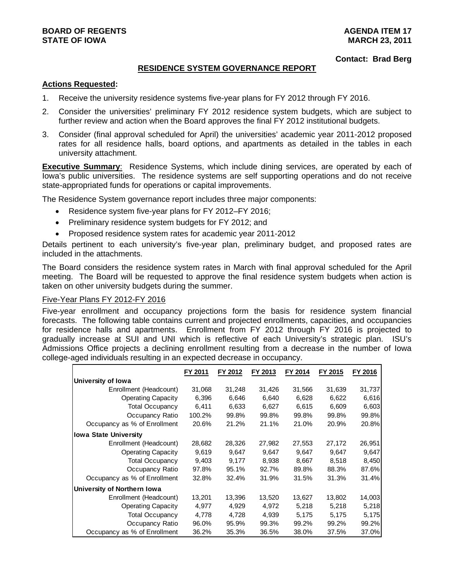**Contact: Brad Berg** 

### **RESIDENCE SYSTEM GOVERNANCE REPORT**

### **Actions Requested:**

- 1. Receive the university residence systems five-year plans for FY 2012 through FY 2016.
- 2. Consider the universities' preliminary FY 2012 residence system budgets, which are subject to further review and action when the Board approves the final FY 2012 institutional budgets.
- 3. Consider (final approval scheduled for April) the universities' academic year 2011-2012 proposed rates for all residence halls, board options, and apartments as detailed in the tables in each university attachment.

**Executive Summary**: Residence Systems, which include dining services, are operated by each of Iowa's public universities. The residence systems are self supporting operations and do not receive state-appropriated funds for operations or capital improvements.

The Residence System governance report includes three major components:

- Residence system five-year plans for FY 2012–FY 2016;
- Preliminary residence system budgets for FY 2012; and
- Proposed residence system rates for academic year 2011-2012

Details pertinent to each university's five-year plan, preliminary budget, and proposed rates are included in the attachments.

The Board considers the residence system rates in March with final approval scheduled for the April meeting. The Board will be requested to approve the final residence system budgets when action is taken on other university budgets during the summer.

### Five-Year Plans FY 2012-FY 2016

Five-year enrollment and occupancy projections form the basis for residence system financial forecasts. The following table contains current and projected enrollments, capacities, and occupancies for residence halls and apartments. Enrollment from FY 2012 through FY 2016 is projected to gradually increase at SUI and UNI which is reflective of each University's strategic plan. ISU's Admissions Office projects a declining enrollment resulting from a decrease in the number of Iowa college-aged individuals resulting in an expected decrease in occupancy.

|                              | FY 2011 | FY 2012 | FY 2013 | FY 2014 | FY 2015 | FY 2016 |
|------------------------------|---------|---------|---------|---------|---------|---------|
| University of Iowa           |         |         |         |         |         |         |
| Enrollment (Headcount)       | 31,068  | 31,248  | 31,426  | 31,566  | 31,639  | 31,737  |
| <b>Operating Capacity</b>    | 6,396   | 6,646   | 6,640   | 6,628   | 6,622   | 6,616   |
| <b>Total Occupancy</b>       | 6.411   | 6,633   | 6,627   | 6.615   | 6.609   | 6,603   |
| Occupancy Ratio              | 100.2%  | 99.8%   | 99.8%   | 99.8%   | 99.8%   | 99.8%   |
| Occupancy as % of Enrollment | 20.6%   | 21.2%   | 21.1%   | 21.0%   | 20.9%   | 20.8%   |
| <b>Iowa State University</b> |         |         |         |         |         |         |
| Enrollment (Headcount)       | 28,682  | 28,326  | 27,982  | 27,553  | 27,172  | 26,951  |
| <b>Operating Capacity</b>    | 9,619   | 9.647   | 9.647   | 9.647   | 9.647   | 9.647   |
| <b>Total Occupancy</b>       | 9,403   | 9,177   | 8,938   | 8,667   | 8,518   | 8,450   |
| Occupancy Ratio              | 97.8%   | 95.1%   | 92.7%   | 89.8%   | 88.3%   | 87.6%   |
| Occupancy as % of Enrollment | 32.8%   | 32.4%   | 31.9%   | 31.5%   | 31.3%   | 31.4%   |
| University of Northern Iowa  |         |         |         |         |         |         |
| Enrollment (Headcount)       | 13,201  | 13,396  | 13,520  | 13,627  | 13,802  | 14,003  |
| <b>Operating Capacity</b>    | 4,977   | 4,929   | 4,972   | 5,218   | 5,218   | 5,218   |
| <b>Total Occupancy</b>       | 4,778   | 4,728   | 4,939   | 5,175   | 5,175   | 5,175   |
| Occupancy Ratio              | 96.0%   | 95.9%   | 99.3%   | 99.2%   | 99.2%   | 99.2%   |
| Occupancy as % of Enrollment | 36.2%   | 35.3%   | 36.5%   | 38.0%   | 37.5%   | 37.0%   |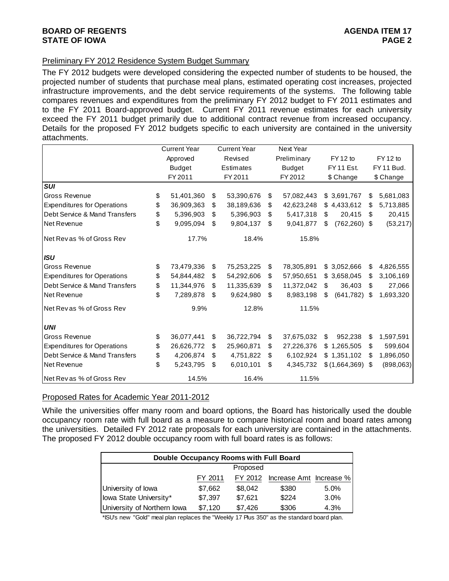### **BOARD OF REGENTS** AGENERAL BOARD OF REGENTS **STATE OF IOWA** PAGE 2

### Preliminary FY 2012 Residence System Budget Summary

The FY 2012 budgets were developed considering the expected number of students to be housed, the projected number of students that purchase meal plans, estimated operating cost increases, projected infrastructure improvements, and the debt service requirements of the systems. The following table compares revenues and expenditures from the preliminary FY 2012 budget to FY 2011 estimates and to the FY 2011 Board-approved budget. Current FY 2011 revenue estimates for each university exceed the FY 2011 budget primarily due to additional contract revenue from increased occupancy. Details for the proposed FY 2012 budgets specific to each university are contained in the university attachments.

|                                    | <b>Current Year</b> |     | <b>Current Year</b> | Next Year        |            |                |    |            |
|------------------------------------|---------------------|-----|---------------------|------------------|------------|----------------|----|------------|
|                                    | Approved            |     | Revised             | Preliminary      |            | FY 12 to       |    | FY 12 to   |
|                                    | <b>Budget</b>       |     | Estimates           | <b>Budget</b>    | FY 11 Est. |                |    | FY 11 Bud. |
|                                    | FY 2011             |     | FY 2011             | FY 2012          |            | \$ Change      |    | \$ Change  |
| <b>SUI</b>                         |                     |     |                     |                  |            |                |    |            |
| Gross Revenue                      | \$<br>51,401,360    | \$  | 53,390,676          | \$<br>57,082,443 |            | \$3,691,767    | \$ | 5,681,083  |
| <b>Expenditures for Operations</b> | \$<br>36,909,363    | \$  | 38,189,636          | \$<br>42,623,248 |            | \$4,433,612    | S  | 5,713,885  |
| Debt Service & Mand Transfers      | \$<br>5,396,903     | \$  | 5,396,903           | \$<br>5,417,318  | \$.        | 20,415         | \$ | 20,415     |
| Net Revenue                        | \$<br>9,095,094     | \$. | 9,804,137           | \$<br>9,041,877  | \$         | $(762,260)$ \$ |    | (53, 217)  |
| Net Rev as % of Gross Rev          | 17.7%               |     | 18.4%               | 15.8%            |            |                |    |            |
| <b>ISU</b>                         |                     |     |                     |                  |            |                |    |            |
| <b>Gross Revenue</b>               | \$<br>73,479,336    | \$  | 75,253,225          | \$<br>78,305,891 |            | \$3,052,666    | S  | 4,826,555  |
| <b>Expenditures for Operations</b> | \$<br>54,844,482    | \$  | 54,292,606          | \$<br>57,950,651 |            | \$3,658,045    | \$ | 3,106,169  |
| Debt Service & Mand Transfers      | \$<br>11,344,976    | \$  | 11,335,639          | \$<br>11,372,042 | \$         | 36,403         | \$ | 27,066     |
| Net Revenue                        | \$<br>7,289,878     | \$  | 9,624,980           | \$<br>8,983,198  | \$         | (641, 782)     | S  | 1,693,320  |
| Net Revas % of Gross Rev           | 9.9%                |     | 12.8%               | 11.5%            |            |                |    |            |
| <b>UNI</b>                         |                     |     |                     |                  |            |                |    |            |
| <b>Gross Revenue</b>               | \$<br>36,077,441    | \$  | 36,722,794          | \$<br>37,675,032 | \$         | 952,238        | \$ | 1,597,591  |
| <b>Expenditures for Operations</b> | \$<br>26,626,772    | \$  | 25,960,871          | \$<br>27,226,376 |            | \$1,265,505    | \$ | 599,604    |
| Debt Service & Mand Transfers      | \$<br>4,206,874     | \$  | 4,751,822           | \$<br>6,102,924  |            | \$1,351,102    | S  | 1,896,050  |
| Net Revenue                        | \$<br>5,243,795     | \$  | 6,010,101           | \$<br>4,345,732  |            | \$(1,664,369)  | \$ | (898,063)  |
| Net Revas % of Gross Rev           | 14.5%               |     | 16.4%               | 11.5%            |            |                |    |            |

### Proposed Rates for Academic Year 2011-2012

While the universities offer many room and board options, the Board has historically used the double occupancy room rate with full board as a measure to compare historical room and board rates among the universities. Detailed FY 2012 rate proposals for each university are contained in the attachments. The proposed FY 2012 double occupancy room with full board rates is as follows:

| Double Occupancy Rooms with Full Board |         |          |                         |      |  |  |  |  |  |  |  |  |
|----------------------------------------|---------|----------|-------------------------|------|--|--|--|--|--|--|--|--|
|                                        |         | Proposed |                         |      |  |  |  |  |  |  |  |  |
|                                        | FY 2011 | FY 2012  | Increase Amt Increase % |      |  |  |  |  |  |  |  |  |
| University of Iowa                     | \$7,662 | \$8,042  | \$380                   | 5.0% |  |  |  |  |  |  |  |  |
| Iowa State University*                 | \$7,397 | \$7,621  | \$224                   | 3.0% |  |  |  |  |  |  |  |  |
| University of Northern Iowa            | \$7,120 | \$7,426  | \$306                   | 4.3% |  |  |  |  |  |  |  |  |

\*ISU's new "Gold" meal plan replaces the "Weekly 17 Plus 350" as the standard board plan.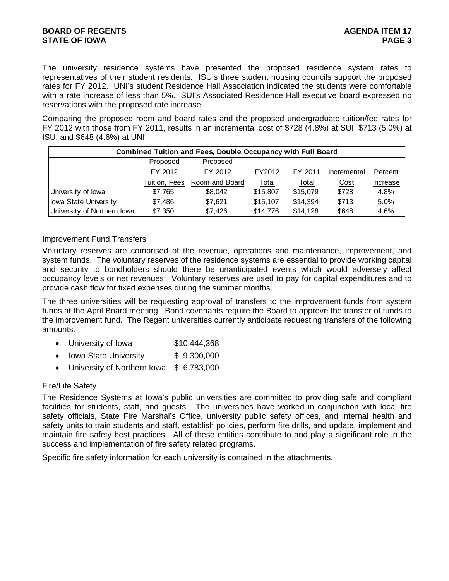The university residence systems have presented the proposed residence system rates to representatives of their student residents. ISU's three student housing councils support the proposed rates for FY 2012. UNI's student Residence Hall Association indicated the students were comfortable with a rate increase of less than 5%. SUI's Associated Residence Hall executive board expressed no reservations with the proposed rate increase.

Comparing the proposed room and board rates and the proposed undergraduate tuition/fee rates for FY 2012 with those from FY 2011, results in an incremental cost of \$728 (4.8%) at SUI, \$713 (5.0%) at ISU, and \$648 (4.6%) at UNI.

|                             |               | <b>Combined Tuition and Fees, Double Occupancy with Full Board</b> |          |          |             |          |
|-----------------------------|---------------|--------------------------------------------------------------------|----------|----------|-------------|----------|
|                             | Proposed      | Proposed                                                           |          |          |             |          |
|                             | FY 2012       | FY 2012                                                            | FY2012   | FY 2011  | Incremental | Percent  |
|                             | Tuition, Fees | Room and Board                                                     | Total    | Total    | Cost        | Increase |
| University of lowa          | \$7,765       | \$8.042                                                            | \$15,807 | \$15,079 | \$728       | 4.8%     |
| lowa State University       | \$7,486       | \$7,621                                                            | \$15,107 | \$14,394 | \$713       | 5.0%     |
| University of Northern Iowa | \$7,350       | \$7,426                                                            | \$14,776 | \$14,128 | \$648       | 4.6%     |

### Improvement Fund Transfers

Voluntary reserves are comprised of the revenue, operations and maintenance, improvement, and system funds. The voluntary reserves of the residence systems are essential to provide working capital and security to bondholders should there be unanticipated events which would adversely affect occupancy levels or net revenues. Voluntary reserves are used to pay for capital expenditures and to provide cash flow for fixed expenses during the summer months.

The three universities will be requesting approval of transfers to the improvement funds from system funds at the April Board meeting. Bond covenants require the Board to approve the transfer of funds to the improvement fund. The Regent universities currently anticipate requesting transfers of the following amounts:

- University of Iowa \$10,444,368
- Iowa State University \$ 9,300,000
- University of Northern Iowa \$ 6,783,000

### Fire/Life Safety

The Residence Systems at Iowa's public universities are committed to providing safe and compliant facilities for students, staff, and guests. The universities have worked in conjunction with local fire safety officials, State Fire Marshal's Office, university public safety offices, and internal health and safety units to train students and staff, establish policies, perform fire drills, and update, implement and maintain fire safety best practices. All of these entities contribute to and play a significant role in the success and implementation of fire safety related programs.

Specific fire safety information for each university is contained in the attachments.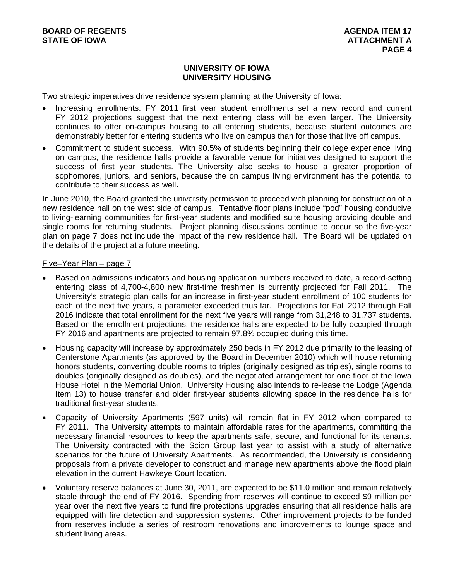### **UNIVERSITY OF IOWA UNIVERSITY HOUSING**

Two strategic imperatives drive residence system planning at the University of Iowa:

- Increasing enrollments. FY 2011 first year student enrollments set a new record and current FY 2012 projections suggest that the next entering class will be even larger. The University continues to offer on-campus housing to all entering students, because student outcomes are demonstrably better for entering students who live on campus than for those that live off campus.
- Commitment to student success. With 90.5% of students beginning their college experience living on campus, the residence halls provide a favorable venue for initiatives designed to support the success of first year students. The University also seeks to house a greater proportion of sophomores, juniors, and seniors, because the on campus living environment has the potential to contribute to their success as well**.**

In June 2010, the Board granted the university permission to proceed with planning for construction of a new residence hall on the west side of campus. Tentative floor plans include "pod" housing conducive to living-learning communities for first-year students and modified suite housing providing double and single rooms for returning students. Project planning discussions continue to occur so the five-year plan on page 7 does not include the impact of the new residence hall. The Board will be updated on the details of the project at a future meeting.

### Five–Year Plan – page 7

- Based on admissions indicators and housing application numbers received to date, a record-setting entering class of 4,700-4,800 new first-time freshmen is currently projected for Fall 2011. The University's strategic plan calls for an increase in first-year student enrollment of 100 students for each of the next five years, a parameter exceeded thus far. Projections for Fall 2012 through Fall 2016 indicate that total enrollment for the next five years will range from 31,248 to 31,737 students. Based on the enrollment projections, the residence halls are expected to be fully occupied through FY 2016 and apartments are projected to remain 97.8% occupied during this time.
- Housing capacity will increase by approximately 250 beds in FY 2012 due primarily to the leasing of Centerstone Apartments (as approved by the Board in December 2010) which will house returning honors students, converting double rooms to triples (originally designed as triples), single rooms to doubles (originally designed as doubles), and the negotiated arrangement for one floor of the Iowa House Hotel in the Memorial Union. University Housing also intends to re-lease the Lodge (Agenda Item 13) to house transfer and older first-year students allowing space in the residence halls for traditional first-year students.
- Capacity of University Apartments (597 units) will remain flat in FY 2012 when compared to FY 2011. The University attempts to maintain affordable rates for the apartments, committing the necessary financial resources to keep the apartments safe, secure, and functional for its tenants. The University contracted with the Scion Group last year to assist with a study of alternative scenarios for the future of University Apartments. As recommended, the University is considering proposals from a private developer to construct and manage new apartments above the flood plain elevation in the current Hawkeye Court location.
- Voluntary reserve balances at June 30, 2011, are expected to be \$11.0 million and remain relatively stable through the end of FY 2016. Spending from reserves will continue to exceed \$9 million per year over the next five years to fund fire protections upgrades ensuring that all residence halls are equipped with fire detection and suppression systems. Other improvement projects to be funded from reserves include a series of restroom renovations and improvements to lounge space and student living areas.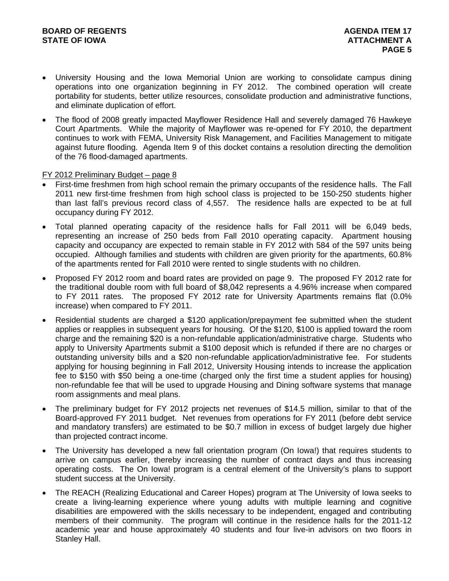- University Housing and the Iowa Memorial Union are working to consolidate campus dining operations into one organization beginning in FY 2012. The combined operation will create portability for students, better utilize resources, consolidate production and administrative functions, and eliminate duplication of effort.
- The flood of 2008 greatly impacted Mayflower Residence Hall and severely damaged 76 Hawkeye Court Apartments. While the majority of Mayflower was re-opened for FY 2010, the department continues to work with FEMA, University Risk Management, and Facilities Management to mitigate against future flooding. Agenda Item 9 of this docket contains a resolution directing the demolition of the 76 flood-damaged apartments.

### FY 2012 Preliminary Budget – page 8

- First-time freshmen from high school remain the primary occupants of the residence halls. The Fall 2011 new first-time freshmen from high school class is projected to be 150-250 students higher than last fall's previous record class of 4,557. The residence halls are expected to be at full occupancy during FY 2012.
- Total planned operating capacity of the residence halls for Fall 2011 will be 6,049 beds, representing an increase of 250 beds from Fall 2010 operating capacity. Apartment housing capacity and occupancy are expected to remain stable in FY 2012 with 584 of the 597 units being occupied. Although families and students with children are given priority for the apartments, 60.8% of the apartments rented for Fall 2010 were rented to single students with no children.
- Proposed FY 2012 room and board rates are provided on page 9. The proposed FY 2012 rate for the traditional double room with full board of \$8,042 represents a 4.96% increase when compared to FY 2011 rates. The proposed FY 2012 rate for University Apartments remains flat (0.0% increase) when compared to FY 2011.
- Residential students are charged a \$120 application/prepayment fee submitted when the student applies or reapplies in subsequent years for housing. Of the \$120, \$100 is applied toward the room charge and the remaining \$20 is a non-refundable application/administrative charge. Students who apply to University Apartments submit a \$100 deposit which is refunded if there are no charges or outstanding university bills and a \$20 non-refundable application/administrative fee. For students applying for housing beginning in Fall 2012, University Housing intends to increase the application fee to \$150 with \$50 being a one-time (charged only the first time a student applies for housing) non-refundable fee that will be used to upgrade Housing and Dining software systems that manage room assignments and meal plans.
- The preliminary budget for FY 2012 projects net revenues of \$14.5 million, similar to that of the Board-approved FY 2011 budget. Net revenues from operations for FY 2011 (before debt service and mandatory transfers) are estimated to be \$0.7 million in excess of budget largely due higher than projected contract income.
- The University has developed a new fall orientation program (On Iowa!) that requires students to arrive on campus earlier, thereby increasing the number of contract days and thus increasing operating costs. The On Iowa! program is a central element of the University's plans to support student success at the University.
- The REACH (Realizing Educational and Career Hopes) program at The University of Iowa seeks to create a living-learning experience where young adults with multiple learning and cognitive disabilities are empowered with the skills necessary to be independent, engaged and contributing members of their community. The program will continue in the residence halls for the 2011-12 academic year and house approximately 40 students and four live-in advisors on two floors in Stanley Hall.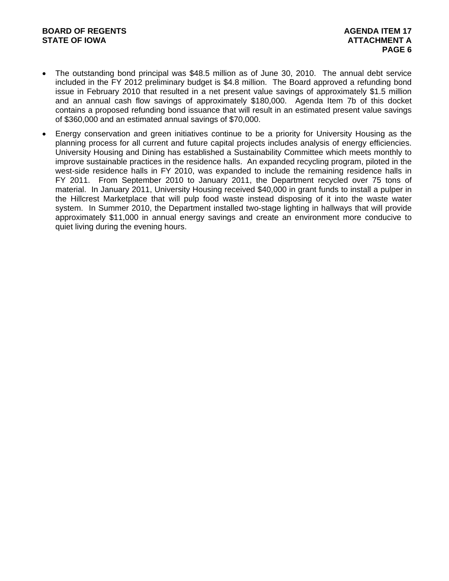- The outstanding bond principal was \$48.5 million as of June 30, 2010. The annual debt service included in the FY 2012 preliminary budget is \$4.8 million. The Board approved a refunding bond issue in February 2010 that resulted in a net present value savings of approximately \$1.5 million and an annual cash flow savings of approximately \$180,000. Agenda Item 7b of this docket contains a proposed refunding bond issuance that will result in an estimated present value savings of \$360,000 and an estimated annual savings of \$70,000.
- Energy conservation and green initiatives continue to be a priority for University Housing as the planning process for all current and future capital projects includes analysis of energy efficiencies. University Housing and Dining has established a Sustainability Committee which meets monthly to improve sustainable practices in the residence halls. An expanded recycling program, piloted in the west-side residence halls in FY 2010, was expanded to include the remaining residence halls in FY 2011. From September 2010 to January 2011, the Department recycled over 75 tons of material. In January 2011, University Housing received \$40,000 in grant funds to install a pulper in the Hillcrest Marketplace that will pulp food waste instead disposing of it into the waste water system. In Summer 2010, the Department installed two-stage lighting in hallways that will provide approximately \$11,000 in annual energy savings and create an environment more conducive to quiet living during the evening hours.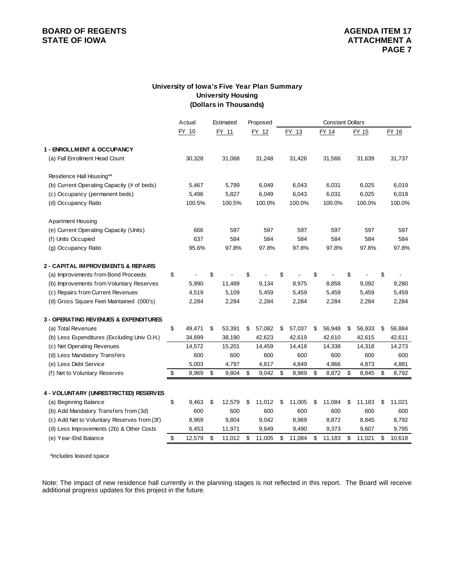### **BOARD OF REGENTS AGENERY AGENERY AGENERY AGENERY AGENERY AGENERY AGENERY ATTACHMENT A**

### **University of Iowa's Five Year Plan Summary University Housing (Dollars in Thousands)**

|                                             | Actual       | Estimated    | Proposed     |              | <b>Constant Dollars</b> |              |              |
|---------------------------------------------|--------------|--------------|--------------|--------------|-------------------------|--------------|--------------|
|                                             | FY 10        | FY 11        | FY 12        | FY 13        | FY 14                   | FY 15        | FY 16        |
| 1 - ENROLLMENT & OCCUPANCY                  |              |              |              |              |                         |              |              |
| (a) Fall Enrollment Head Count              | 30,328       | 31,068       | 31,248       | 31,426       | 31,566                  | 31,639       | 31,737       |
| Residence Hall Housing**                    |              |              |              |              |                         |              |              |
| (b) Current Operating Capacity (# of beds)  | 5,467        | 5,799        | 6,049        | 6,043        | 6,031                   | 6,025        | 6,019        |
| (c) Occupancy (permanent beds)              | 5,496        | 5,827        | 6,049        | 6,043        | 6,031                   | 6,025        | 6,019        |
| (d) Occupancy Ratio                         | 100.5%       | 100.5%       | 100.0%       | 100.0%       | 100.0%                  | 100.0%       | 100.0%       |
| <b>Apartment Housing</b>                    |              |              |              |              |                         |              |              |
| (e) Current Operating Capacity (Units)      | 666          | 597          | 597          | 597          | 597                     | 597          | 597          |
| (f) Units Occupied                          | 637          | 584          | 584          | 584          | 584                     | 584          | 584          |
| (g) Occupancy Ratio                         | 95.6%        | 97.8%        | 97.8%        | 97.8%        | 97.8%                   | 97.8%        | 97.8%        |
| 2 - CAPITAL IMPROVEMENTS & REPAIRS          |              |              |              |              |                         |              |              |
| (a) Improvements from Bond Proceeds         | \$           | \$           | \$           | \$           | \$                      | \$           | \$           |
| (b) Improvements from Voluntary Reserves    | 5,990        | 11,489       | 9,134        | 8,975        | 8,858                   | 9,092        | 9,280        |
| (c) Repairs from Current Revenues           | 4,519        | 5,109        | 5,459        | 5,459        | 5,459                   | 5,459        | 5,459        |
| (d) Gross Square Feet Maintained (000's)    | 2,284        | 2,284        | 2,284        | 2,284        | 2,284                   | 2,284        | 2,284        |
| 3 - OPERATING REVENUES & EXPENDITURES       |              |              |              |              |                         |              |              |
| (a) Total Revenues                          | \$<br>49,471 | \$<br>53,391 | \$<br>57,082 | \$<br>57,037 | \$<br>56,948            | \$<br>56,933 | \$<br>56,884 |
| (b) Less Expenditures (Excluding Univ O.H.) | 34,899       | 38,190       | 42,623       | 42,619       | 42,610                  | 42,615       | 42,611       |
| (c) Net Operating Revenues                  | 14,572       | 15,201       | 14,459       | 14,418       | 14,338                  | 14,318       | 14,273       |
| (d) Less Mandatory Transfers                | 600          | 600          | 600          | 600          | 600                     | 600          | 600          |
| (e) Less Debt Service                       | 5,003        | 4,797        | 4,817        | 4,849        | 4,866                   | 4,873        | 4,881        |
| (f) Net to Voluntary Reserves               | \$<br>8,969  | \$<br>9,804  | \$<br>9,042  | \$<br>8,969  | \$<br>8,872             | \$<br>8,845  | \$<br>8,792  |
| 4 - VOLUNTARY (UNRESTRICTED) RESERVES       |              |              |              |              |                         |              |              |
| (a) Beginning Balance                       | \$<br>9,463  | \$<br>12,579 | \$<br>11,012 | \$<br>11,005 | \$<br>11,084            | \$<br>11,183 | \$<br>11,021 |
| (b) Add Mandatory Transfers from (3d)       | 600          | 600          | 600          | 600          | 600                     | 600          | 600          |
| (c) Add Net to Voluntary Reserves from (3f) | 8,969        | 9,804        | 9,042        | 8,969        | 8,872                   | 8,845        | 8,792        |
| (d) Less Improvements (2b) & Other Costs    | 6,453        | 11,971       | 9,649        | 9,490        | 9,373                   | 9,607        | 9,795        |
| (e) Year-End Balance                        | \$<br>12,579 | \$<br>11,012 | \$<br>11,005 | \$<br>11,084 | \$<br>11,183            | \$<br>11,021 | \$<br>10,618 |
|                                             |              |              |              |              |                         |              |              |

\*includes leased space

Note: The impact of new residence hall currently in the planning stages is not reflected in this report. The Board will receive additional progress updates for this project in the future.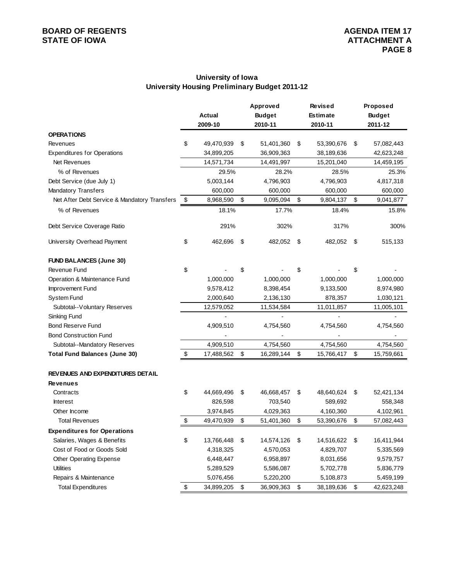### **University of Iowa University Housing Preliminary Budget 2011-12**

|                                              | Approved |            |    |               | <b>Revised</b>   | Proposed         |
|----------------------------------------------|----------|------------|----|---------------|------------------|------------------|
|                                              |          | Actual     |    | <b>Budget</b> | <b>Estimate</b>  | <b>Budget</b>    |
|                                              |          | 2009-10    |    | 2010-11       | 2010-11          | 2011-12          |
| <b>OPERATIONS</b>                            |          |            |    |               |                  |                  |
| Revenues                                     | \$       | 49,470,939 | \$ | 51,401,360    | \$<br>53,390,676 | \$<br>57,082,443 |
| <b>Expenditures for Operations</b>           |          | 34,899,205 |    | 36,909,363    | 38,189,636       | 42,623,248       |
| Net Revenues                                 |          | 14,571,734 |    | 14,491,997    | 15,201,040       | 14,459,195       |
| % of Revenues                                |          | 29.5%      |    | 28.2%         | 28.5%            | 25.3%            |
| Debt Service (due July 1)                    |          | 5,003,144  |    | 4,796,903     | 4,796,903        | 4,817,318        |
| <b>Mandatory Transfers</b>                   |          | 600,000    |    | 600,000       | 600,000          | 600,000          |
| Net After Debt Service & Mandatory Transfers | \$       | 8,968,590  | \$ | 9,095,094     | \$<br>9,804,137  | \$<br>9,041,877  |
| % of Revenues                                |          | 18.1%      |    | 17.7%         | 18.4%            | 15.8%            |
| Debt Service Coverage Ratio                  |          | 291%       |    | 302%          | 317%             | 300%             |
| University Overhead Payment                  | \$       | 462,696    | \$ | 482,052 \$    | 482,052          | \$<br>515,133    |
| <b>FUND BALANCES (June 30)</b>               |          |            |    |               |                  |                  |
| Revenue Fund                                 | \$       |            | \$ |               | \$               | \$               |
| Operation & Maintenance Fund                 |          | 1,000,000  |    | 1,000,000     | 1,000,000        | 1,000,000        |
| Improvement Fund                             |          | 9,578,412  |    | 8,398,454     | 9,133,500        | 8,974,980        |
| System Fund                                  |          | 2,000,640  |    | 2,136,130     | 878,357          | 1,030,121        |
| Subtotal--Voluntary Reserves                 |          | 12,579,052 |    | 11,534,584    | 11,011,857       | 11,005,101       |
| Sinking Fund                                 |          |            |    |               |                  |                  |
| <b>Bond Reserve Fund</b>                     |          | 4,909,510  |    | 4,754,560     | 4,754,560        | 4,754,560        |
| <b>Bond Construction Fund</b>                |          |            |    |               |                  |                  |
| Subtotal--Mandatory Reserves                 |          | 4,909,510  |    | 4,754,560     | 4,754,560        | 4,754,560        |
| <b>Total Fund Balances (June 30)</b>         | \$       | 17,488,562 | \$ | 16,289,144    | \$<br>15,766,417 | \$<br>15,759,661 |
| REVENUES AND EXPENDITURES DETAIL             |          |            |    |               |                  |                  |
| <b>Revenues</b>                              |          |            |    |               |                  |                  |
| Contracts                                    | \$       | 44,669,496 | \$ | 46,668,457    | \$<br>48,640,624 | \$<br>52,421,134 |
| <b>Interest</b>                              |          | 826,598    |    | 703,540       | 589,692          | 558,348          |
| Other Income                                 |          | 3,974,845  |    | 4,029,363     | 4,160,360        | 4,102,961        |
| <b>Total Revenues</b>                        | \$       | 49,470,939 | \$ | 51,401,360    | \$<br>53,390,676 | \$<br>57,082,443 |
| <b>Expenditures for Operations</b>           |          |            |    |               |                  |                  |
| Salaries, Wages & Benefits                   | \$       | 13,766,448 | \$ | 14,574,126    | \$<br>14,516,622 | \$<br>16,411,944 |
| Cost of Food or Goods Sold                   |          | 4,318,325  |    | 4,570,053     | 4,829,707        | 5,335,569        |
| Other Operating Expense                      |          | 6,448,447  |    | 6,958,897     | 8,031,656        | 9,579,757        |
| <b>Utilities</b>                             |          | 5,289,529  |    | 5,586,087     | 5,702,778        | 5,836,779        |
| Repairs & Maintenance                        |          | 5,076,456  |    | 5,220,200     | 5,108,873        | 5,459,199        |
| <b>Total Expenditures</b>                    | \$       | 34,899,205 | \$ | 36,909,363    | \$<br>38,189,636 | \$<br>42,623,248 |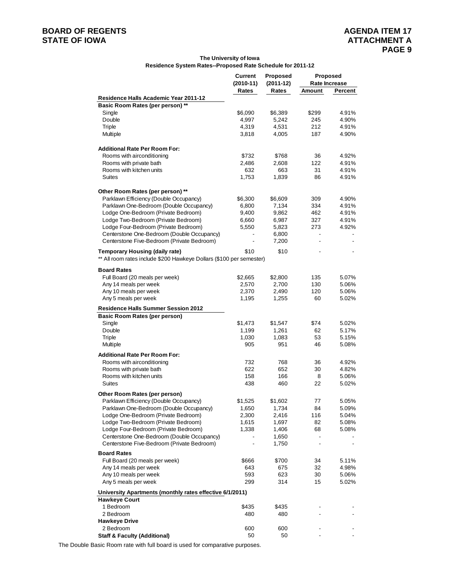# **BOARD OF REGENTS**<br> **BOARD OF REGENTS**<br> **BOARD OF IOWA**<br> **ATTACHMENT A**

#### **The University of Iowa Residence System Rates--Proposed Rate Schedule for 2011-12**

|                                                                      | <b>Current</b> | Proposed    | <b>Proposed</b>          |               |
|----------------------------------------------------------------------|----------------|-------------|--------------------------|---------------|
|                                                                      | $(2010-11)$    | $(2011-12)$ |                          | Rate Increase |
|                                                                      | Rates          | Rates       | Amount                   | Percent       |
| Residence Halls Academic Year 2011-12                                |                |             |                          |               |
| Basic Room Rates (per person) **                                     |                |             |                          |               |
| Single                                                               | \$6,090        | \$6,389     | \$299                    | 4.91%         |
| Double                                                               | 4,997          | 5,242       | 245                      | 4.90%         |
| Triple                                                               | 4,319          | 4,531       | 212                      | 4.91%         |
| Multiple                                                             | 3,818          | 4,005       | 187                      | 4.90%         |
|                                                                      |                |             |                          |               |
| <b>Additional Rate Per Room For:</b>                                 |                |             |                          |               |
| Rooms with airconditioning                                           | \$732          | \$768       | 36                       | 4.92%         |
| Rooms with private bath                                              | 2,486          | 2,608       | 122                      | 4.91%         |
| Rooms with kitchen units                                             | 632            | 663         | 31                       | 4.91%         |
| <b>Suites</b>                                                        | 1,753          | 1,839       | 86                       | 4.91%         |
|                                                                      |                |             |                          |               |
| Other Room Rates (per person) **                                     |                |             |                          |               |
| Parklawn Efficiency (Double Occupancy)                               | \$6,300        | \$6,609     | 309                      | 4.90%         |
| Parklawn One-Bedroom (Double Occupancy)                              | 6,800          | 7,134       | 334                      | 4.91%         |
| Lodge One-Bedroom (Private Bedroom)                                  | 9,400          | 9,862       | 462                      | 4.91%         |
| Lodge Two-Bedroom (Private Bedroom)                                  | 6,660          | 6,987       | 327                      | 4.91%         |
| Lodge Four-Bedroom (Private Bedroom)                                 | 5,550          | 5,823       | 273                      | 4.92%         |
| Centerstone One-Bedroom (Double Occupancy)                           |                | 6,800       | $\overline{\phantom{a}}$ |               |
| Centerstone Five-Bedroom (Private Bedroom)                           |                | 7,200       |                          |               |
| <b>Temporary Housing (daily rate)</b>                                | \$10           | \$10        |                          |               |
| ** All room rates include \$200 Hawkeye Dollars (\$100 per semester) |                |             |                          |               |
|                                                                      |                |             |                          |               |
| <b>Board Rates</b>                                                   |                |             |                          |               |
| Full Board (20 meals per week)                                       | \$2,665        | \$2,800     | 135                      | 5.07%         |
| Any 14 meals per week                                                | 2,570          | 2,700       | 130                      | 5.06%         |
| Any 10 meals per week                                                | 2,370          | 2,490       | 120                      | 5.06%         |
| Any 5 meals per week                                                 | 1,195          | 1,255       | 60                       | 5.02%         |
| Residence Halls Summer Session 2012                                  |                |             |                          |               |
| <b>Basic Room Rates (per person)</b>                                 |                |             |                          |               |
| Single                                                               | \$1,473        | \$1,547     | \$74                     | 5.02%         |
| Double                                                               | 1,199          | 1,261       | 62                       | 5.17%         |
| Triple                                                               | 1,030          | 1,083       | 53                       | 5.15%         |
| Multiple                                                             | 905            | 951         | 46                       | 5.08%         |
| <b>Additional Rate Per Room For:</b>                                 |                |             |                          |               |
| Rooms with airconditioning                                           | 732            | 768         | 36                       | 4.92%         |
| Rooms with private bath                                              | 622            | 652         | 30                       | 4.82%         |
| Rooms with kitchen units                                             | 158            | 166         | 8                        | 5.06%         |
| <b>Suites</b>                                                        | 438            | 460         | 22                       | 5.02%         |
|                                                                      |                |             |                          |               |
| Other Room Rates (per person)                                        |                |             |                          |               |
| Parklawn Efficiency (Double Occupancy)                               | \$1,525        | \$1,602     | 77                       | 5.05%         |
| Parklawn One-Bedroom (Double Occupancy)                              | 1,650          | 1,734       | 84                       | 5.09%         |
| Lodge One-Bedroom (Private Bedroom)                                  | 2,300          | 2,416       | 116                      | 5.04%         |
| Lodge Two-Bedroom (Private Bedroom)                                  | 1,615          | 1,697       | 82                       | 5.08%         |
| Lodge Four-Bedroom (Private Bedroom)                                 | 1,338          | 1,406       | 68                       | 5.08%         |
| Centerstone One-Bedroom (Double Occupancy)                           |                | 1,650       |                          |               |
| Centerstone Five-Bedroom (Private Bedroom)                           |                | 1,750       |                          |               |
| <b>Board Rates</b>                                                   |                |             |                          |               |
| Full Board (20 meals per week)                                       | \$666          | \$700       | 34                       | 5.11%         |
| Any 14 meals per week                                                | 643            | 675         | 32                       | 4.98%         |
| Any 10 meals per week                                                | 593            | 623         | 30                       | 5.06%         |
| Any 5 meals per week                                                 | 299            | 314         | 15                       | 5.02%         |
| University Apartments (monthly rates effective 6/1/2011)             |                |             |                          |               |
| <b>Hawkeye Court</b>                                                 |                |             |                          |               |
| 1 Bedroom                                                            | \$435          | \$435       |                          |               |
| 2 Bedroom                                                            | 480            | 480         |                          |               |
| <b>Hawkeye Drive</b>                                                 |                |             |                          |               |
| 2 Bedroom                                                            | 600            | 600         |                          |               |
| <b>Staff &amp; Faculty (Additional)</b>                              | 50             | 50          |                          |               |

The Double Basic Room rate with full board is used for comparative purposes.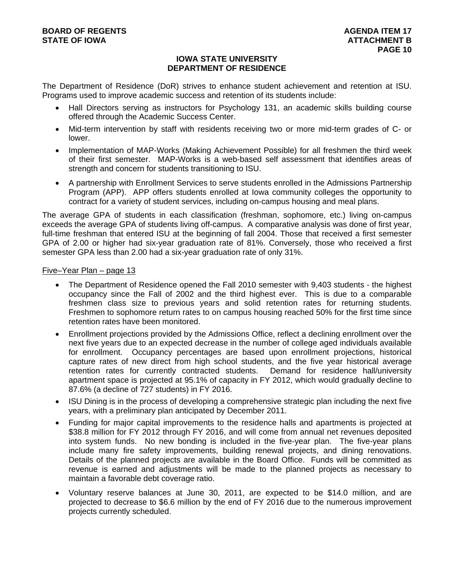### **IOWA STATE UNIVERSITY DEPARTMENT OF RESIDENCE**

The Department of Residence (DoR) strives to enhance student achievement and retention at ISU. Programs used to improve academic success and retention of its students include:

- Hall Directors serving as instructors for Psychology 131, an academic skills building course offered through the Academic Success Center.
- Mid-term intervention by staff with residents receiving two or more mid-term grades of C- or lower.
- Implementation of MAP-Works (Making Achievement Possible) for all freshmen the third week of their first semester. MAP-Works is a web-based self assessment that identifies areas of strength and concern for students transitioning to ISU.
- A partnership with Enrollment Services to serve students enrolled in the Admissions Partnership Program (APP). APP offers students enrolled at Iowa community colleges the opportunity to contract for a variety of student services, including on-campus housing and meal plans.

The average GPA of students in each classification (freshman, sophomore, etc.) living on-campus exceeds the average GPA of students living off-campus. A comparative analysis was done of first year, full-time freshman that entered ISU at the beginning of fall 2004. Those that received a first semester GPA of 2.00 or higher had six-year graduation rate of 81%. Conversely, those who received a first semester GPA less than 2.00 had a six-year graduation rate of only 31%.

### Five–Year Plan – page 13

- The Department of Residence opened the Fall 2010 semester with 9,403 students the highest occupancy since the Fall of 2002 and the third highest ever. This is due to a comparable freshmen class size to previous years and solid retention rates for returning students. Freshmen to sophomore return rates to on campus housing reached 50% for the first time since retention rates have been monitored.
- Enrollment projections provided by the Admissions Office, reflect a declining enrollment over the next five years due to an expected decrease in the number of college aged individuals available for enrollment. Occupancy percentages are based upon enrollment projections, historical capture rates of new direct from high school students, and the five year historical average retention rates for currently contracted students. Demand for residence hall/university apartment space is projected at 95.1% of capacity in FY 2012, which would gradually decline to 87.6% (a decline of 727 students) in FY 2016.
- ISU Dining is in the process of developing a comprehensive strategic plan including the next five years, with a preliminary plan anticipated by December 2011.
- Funding for major capital improvements to the residence halls and apartments is projected at \$38.8 million for FY 2012 through FY 2016, and will come from annual net revenues deposited into system funds. No new bonding is included in the five-year plan. The five-year plans include many fire safety improvements, building renewal projects, and dining renovations. Details of the planned projects are available in the Board Office. Funds will be committed as revenue is earned and adjustments will be made to the planned projects as necessary to maintain a favorable debt coverage ratio.
- Voluntary reserve balances at June 30, 2011, are expected to be \$14.0 million, and are projected to decrease to \$6.6 million by the end of FY 2016 due to the numerous improvement projects currently scheduled.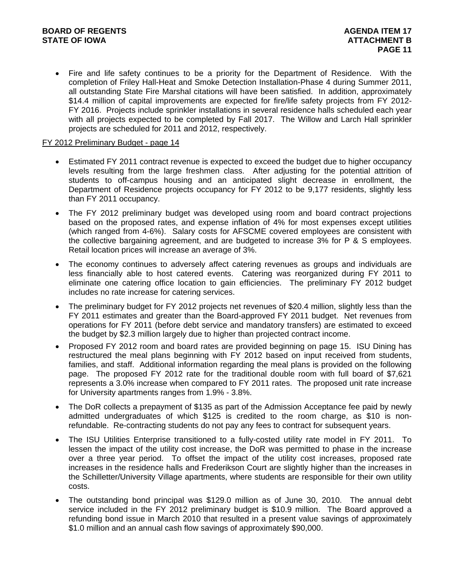Fire and life safety continues to be a priority for the Department of Residence. With the completion of Friley Hall-Heat and Smoke Detection Installation-Phase 4 during Summer 2011, all outstanding State Fire Marshal citations will have been satisfied. In addition, approximately \$14.4 million of capital improvements are expected for fire/life safety projects from FY 2012- FY 2016. Projects include sprinkler installations in several residence halls scheduled each year with all projects expected to be completed by Fall 2017. The Willow and Larch Hall sprinkler projects are scheduled for 2011 and 2012, respectively.

### FY 2012 Preliminary Budget - page 14

- Estimated FY 2011 contract revenue is expected to exceed the budget due to higher occupancy levels resulting from the large freshmen class. After adjusting for the potential attrition of students to off-campus housing and an anticipated slight decrease in enrollment, the Department of Residence projects occupancy for FY 2012 to be 9,177 residents, slightly less than FY 2011 occupancy.
- The FY 2012 preliminary budget was developed using room and board contract projections based on the proposed rates, and expense inflation of 4% for most expenses except utilities (which ranged from 4-6%). Salary costs for AFSCME covered employees are consistent with the collective bargaining agreement, and are budgeted to increase 3% for P & S employees. Retail location prices will increase an average of 3%.
- The economy continues to adversely affect catering revenues as groups and individuals are less financially able to host catered events. Catering was reorganized during FY 2011 to eliminate one catering office location to gain efficiencies. The preliminary FY 2012 budget includes no rate increase for catering services.
- The preliminary budget for FY 2012 projects net revenues of \$20.4 million, slightly less than the FY 2011 estimates and greater than the Board-approved FY 2011 budget. Net revenues from operations for FY 2011 (before debt service and mandatory transfers) are estimated to exceed the budget by \$2.3 million largely due to higher than projected contract income.
- Proposed FY 2012 room and board rates are provided beginning on page 15. ISU Dining has restructured the meal plans beginning with FY 2012 based on input received from students, families, and staff. Additional information regarding the meal plans is provided on the following page. The proposed FY 2012 rate for the traditional double room with full board of \$7,621 represents a 3.0% increase when compared to FY 2011 rates. The proposed unit rate increase for University apartments ranges from 1.9% - 3.8%.
- The DoR collects a prepayment of \$135 as part of the Admission Acceptance fee paid by newly admitted undergraduates of which \$125 is credited to the room charge, as \$10 is nonrefundable. Re-contracting students do not pay any fees to contract for subsequent years.
- The ISU Utilities Enterprise transitioned to a fully-costed utility rate model in FY 2011. To lessen the impact of the utility cost increase, the DoR was permitted to phase in the increase over a three year period. To offset the impact of the utility cost increases, proposed rate increases in the residence halls and Frederikson Court are slightly higher than the increases in the Schilletter/University Village apartments, where students are responsible for their own utility costs.
- The outstanding bond principal was \$129.0 million as of June 30, 2010. The annual debt service included in the FY 2012 preliminary budget is \$10.9 million. The Board approved a refunding bond issue in March 2010 that resulted in a present value savings of approximately \$1.0 million and an annual cash flow savings of approximately \$90,000.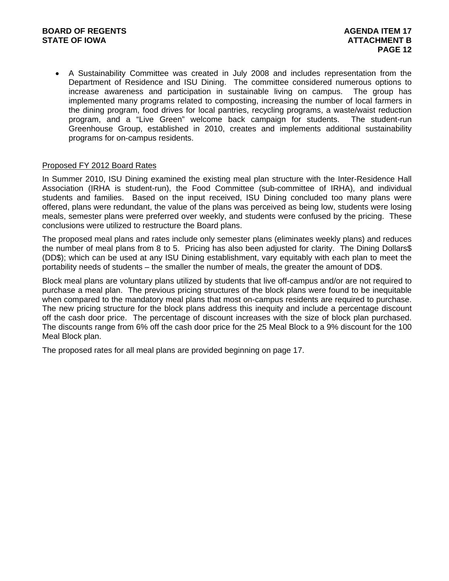A Sustainability Committee was created in July 2008 and includes representation from the Department of Residence and ISU Dining. The committee considered numerous options to increase awareness and participation in sustainable living on campus. The group has implemented many programs related to composting, increasing the number of local farmers in the dining program, food drives for local pantries, recycling programs, a waste/waist reduction program, and a "Live Green" welcome back campaign for students. The student-run Greenhouse Group, established in 2010, creates and implements additional sustainability programs for on-campus residents.

### Proposed FY 2012 Board Rates

In Summer 2010, ISU Dining examined the existing meal plan structure with the Inter-Residence Hall Association (IRHA is student-run), the Food Committee (sub-committee of IRHA), and individual students and families. Based on the input received, ISU Dining concluded too many plans were offered, plans were redundant, the value of the plans was perceived as being low, students were losing meals, semester plans were preferred over weekly, and students were confused by the pricing. These conclusions were utilized to restructure the Board plans.

The proposed meal plans and rates include only semester plans (eliminates weekly plans) and reduces the number of meal plans from 8 to 5. Pricing has also been adjusted for clarity. The Dining Dollars\$ (DD\$); which can be used at any ISU Dining establishment, vary equitably with each plan to meet the portability needs of students – the smaller the number of meals, the greater the amount of DD\$.

Block meal plans are voluntary plans utilized by students that live off-campus and/or are not required to purchase a meal plan. The previous pricing structures of the block plans were found to be inequitable when compared to the mandatory meal plans that most on-campus residents are required to purchase. The new pricing structure for the block plans address this inequity and include a percentage discount off the cash door price. The percentage of discount increases with the size of block plan purchased. The discounts range from 6% off the cash door price for the 25 Meal Block to a 9% discount for the 100 Meal Block plan.

The proposed rates for all meal plans are provided beginning on page 17.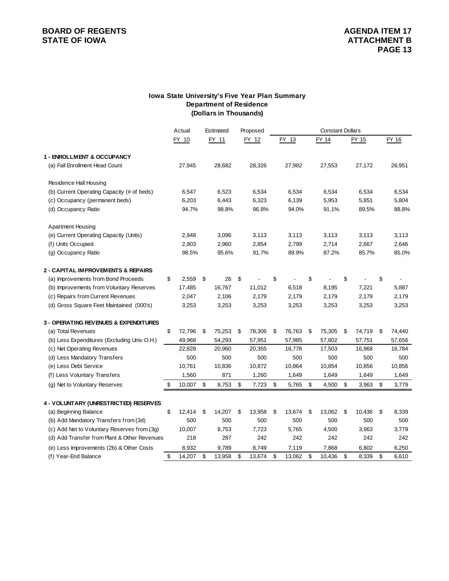### **BOARD OF REGENTS**<br> **BOARD OF REGENTS**<br> **BOARD OF IOWA**<br> **ATTACHMENT B**

#### **Department of Residence Iowa State University's Five Year Plan Summary (Dollars in Thousands)**

|                                                  | Actual       |      | Estimated | Proposed     |              |              |              | <b>Constant Dollars</b> |        |  |  |  |
|--------------------------------------------------|--------------|------|-----------|--------------|--------------|--------------|--------------|-------------------------|--------|--|--|--|
|                                                  | FY 10        |      | FY 11     | FY 12        | FY 13        | FY 14        | FY 15        |                         | FY 16  |  |  |  |
| 1 - ENROLLMENT & OCCUPANCY                       |              |      |           |              |              |              |              |                         |        |  |  |  |
| (a) Fall Enrollment Head Count                   | 27,945       |      | 28,682    | 28,326       | 27,982       | 27,553       | 27,172       |                         | 26,951 |  |  |  |
| <b>Residence Hall Housing</b>                    |              |      |           |              |              |              |              |                         |        |  |  |  |
| (b) Current Operating Capacity (# of beds)       | 6,547        |      | 6,523     | 6,534        | 6,534        | 6,534        | 6,534        |                         | 6,534  |  |  |  |
| (c) Occupancy (permanent beds)                   | 6,203        |      | 6,443     | 6,323        | 6,139        | 5,953        | 5,851        |                         | 5,804  |  |  |  |
| (d) Occupancy Ratio                              | 94.7%        |      | 98.8%     | 96.8%        | 94.0%        | 91.1%        | 89.5%        |                         | 88.8%  |  |  |  |
| <b>Apartment Housing</b>                         |              |      |           |              |              |              |              |                         |        |  |  |  |
| (e) Current Operating Capacity (Units)           | 2,948        |      | 3,096     | 3,113        | 3,113        | 3,113        | 3,113        |                         | 3,113  |  |  |  |
| (f) Units Occupied                               | 2,903        |      | 2,960     | 2,854        | 2,799        | 2,714        | 2,667        |                         | 2,646  |  |  |  |
| (g) Occupancy Ratio                              | 98.5%        |      | 95.6%     | 91.7%        | 89.9%        | 87.2%        | 85.7%        |                         | 85.0%  |  |  |  |
| 2 - CAPITAL IMPROVEMENTS & REPAIRS               |              |      |           |              |              |              |              |                         |        |  |  |  |
| (a) Improvements from Bond Proceeds              | \$<br>2,559  | - \$ | 26        | \$           | \$           | \$           | \$           | \$                      |        |  |  |  |
| (b) Improvements from Voluntary Reserves         | 17,485       |      | 16,767    | 11,012       | 6,518        | 8,195        | 7,221        |                         | 5,887  |  |  |  |
| (c) Repairs from Current Revenues                | 2,047        |      | 2,106     | 2,179        | 2,179        | 2,179        | 2,179        |                         | 2,179  |  |  |  |
| (d) Gross Square Feet Maintained (000's)         | 3,253        |      | 3,253     | 3,253        | 3,253        | 3,253        | 3,253        |                         | 3,253  |  |  |  |
| <b>3 - OPERATING REVENUES &amp; EXPENDITURES</b> |              |      |           |              |              |              |              |                         |        |  |  |  |
| (a) Total Revenues                               | \$<br>72,796 | \$   | 75,253    | \$<br>78,306 | \$<br>76,763 | \$<br>75,305 | \$<br>74,719 | \$                      | 74,440 |  |  |  |
| (b) Less Expenditures (Excluding Univ O.H.)      | 49,968       |      | 54,293    | 57,951       | 57,985       | 57,802       | 57,751       |                         | 57,656 |  |  |  |
| (c) Net Operating Revenues                       | 22,828       |      | 20,960    | 20,355       | 18,778       | 17,503       | 16,968       |                         | 16,784 |  |  |  |
| (d) Less Mandatory Transfers                     | 500          |      | 500       | 500          | 500          | 500          | 500          |                         | 500    |  |  |  |
| (e) Less Debt Service                            | 10,761       |      | 10,836    | 10,872       | 10,864       | 10,854       | 10,856       |                         | 10,856 |  |  |  |
| (f) Less Voluntary Transfers                     | 1,560        |      | 871       | 1,260        | 1,649        | 1,649        | 1,649        |                         | 1,649  |  |  |  |
| (g) Net to Voluntary Reserves                    | \$<br>10,007 | \$   | 8,753     | \$<br>7,723  | \$<br>5,765  | \$<br>4,500  | \$<br>3,963  | \$                      | 3,779  |  |  |  |
| 4 - VOLUNTARY (UNRESTRICTED) RESERVES            |              |      |           |              |              |              |              |                         |        |  |  |  |
| (a) Beginning Balance                            | \$<br>12,414 | \$   | 14,207    | \$<br>13,958 | \$<br>13,674 | \$<br>13,062 | \$<br>10,436 | \$                      | 8,339  |  |  |  |
| (b) Add Mandatory Transfers from (3d)            | 500          |      | 500       | 500          | 500          | 500          | 500          |                         | 500    |  |  |  |
| (c) Add Net to Voluntary Reserves from (3g)      | 10,007       |      | 8,753     | 7,723        | 5,765        | 4,500        | 3,963        |                         | 3,779  |  |  |  |
| (d) Add Transfer from Plant & Other Revenues     | 218          |      | 287       | 242          | 242          | 242          | 242          |                         | 242    |  |  |  |
| (e) Less Improvements (2b) & Other Costs         | 8,932        |      | 9,789     | 8,749        | 7,119        | 7,868        | 6,802        |                         | 6,250  |  |  |  |
| (f) Year-End Balance                             | \$<br>14,207 | \$   | 13,958    | \$<br>13,674 | \$<br>13,062 | \$<br>10,436 | \$<br>8,339  | \$                      | 6,610  |  |  |  |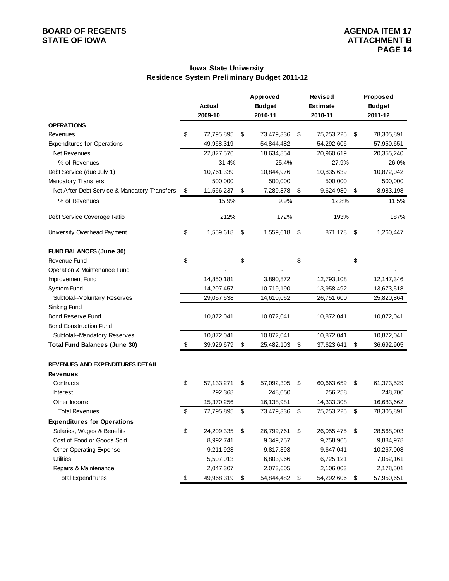### **Iowa State University Residence System Preliminary Budget 2011-12**

|                                              | Approved |               |    |               | <b>Revised</b>   | Proposed         |
|----------------------------------------------|----------|---------------|----|---------------|------------------|------------------|
|                                              |          | <b>Actual</b> |    | <b>Budget</b> | <b>Estimate</b>  | <b>Budget</b>    |
|                                              |          | 2009-10       |    | 2010-11       | 2010-11          | 2011-12          |
| <b>OPERATIONS</b>                            |          |               |    |               |                  |                  |
| Revenues                                     | \$       | 72,795,895    | \$ | 73,479,336    | \$<br>75,253,225 | \$<br>78,305,891 |
| <b>Expenditures for Operations</b>           |          | 49,968,319    |    | 54,844,482    | 54,292,606       | 57,950,651       |
| Net Revenues                                 |          | 22,827,576    |    | 18,634,854    | 20,960,619       | 20,355,240       |
| % of Revenues                                |          | 31.4%         |    | 25.4%         | 27.9%            | 26.0%            |
| Debt Service (due July 1)                    |          | 10,761,339    |    | 10,844,976    | 10,835,639       | 10,872,042       |
| <b>Mandatory Transfers</b>                   |          | 500,000       |    | 500,000       | 500,000          | 500,000          |
| Net After Debt Service & Mandatory Transfers | \$       | 11,566,237    | \$ | 7,289,878     | \$<br>9,624,980  | \$<br>8,983,198  |
| % of Revenues                                |          | 15.9%         |    | 9.9%          | 12.8%            | 11.5%            |
| Debt Service Coverage Ratio                  |          | 212%          |    | 172%          | 193%             | 187%             |
| University Overhead Payment                  | \$       | 1,559,618     | \$ | 1,559,618     | \$<br>871,178    | \$<br>1,260,447  |
| <b>FUND BALANCES (June 30)</b>               |          |               |    |               |                  |                  |
| Revenue Fund                                 | \$       |               | \$ |               | \$               | \$               |
| Operation & Maintenance Fund                 |          |               |    |               |                  |                  |
| Improvement Fund                             |          | 14,850,181    |    | 3,890,872     | 12,793,108       | 12,147,346       |
| System Fund                                  |          | 14,207,457    |    | 10,719,190    | 13,958,492       | 13,673,518       |
| Subtotal--Voluntary Reserves                 |          | 29,057,638    |    | 14,610,062    | 26,751,600       | 25,820,864       |
| Sinking Fund                                 |          |               |    |               |                  |                  |
| <b>Bond Reserve Fund</b>                     |          | 10,872,041    |    | 10,872,041    | 10,872,041       | 10,872,041       |
| <b>Bond Construction Fund</b>                |          |               |    |               |                  |                  |
| Subtotal--Mandatory Reserves                 |          | 10,872,041    |    | 10,872,041    | 10,872,041       | 10,872,041       |
| <b>Total Fund Balances (June 30)</b>         | \$       | 39,929,679    | \$ | 25,482,103    | \$<br>37,623,641 | \$<br>36,692,905 |
| REVENUES AND EXPENDITURES DETAIL             |          |               |    |               |                  |                  |
| <b>Revenues</b>                              |          |               |    |               |                  |                  |
| Contracts                                    | \$       | 57, 133, 271  | \$ | 57,092,305    | \$<br>60,663,659 | \$<br>61,373,529 |
| <b>Interest</b>                              |          | 292,368       |    | 248,050       | 256,258          | 248,700          |
| Other Income                                 |          | 15,370,256    |    | 16,138,981    | 14,333,308       | 16,683,662       |
| <b>Total Revenues</b>                        | \$       | 72,795,895    | \$ | 73,479,336    | \$<br>75,253,225 | \$<br>78,305,891 |
| <b>Expenditures for Operations</b>           |          |               |    |               |                  |                  |
| Salaries, Wages & Benefits                   | \$       | 24,209,335    | \$ | 26,799,761    | \$<br>26,055,475 | \$<br>28,568,003 |
| Cost of Food or Goods Sold                   |          | 8,992,741     |    | 9,349,757     | 9,758,966        | 9,884,978        |
| Other Operating Expense                      |          | 9,211,923     |    | 9,817,393     | 9,647,041        | 10,267,008       |
| <b>Utilities</b>                             |          | 5,507,013     |    | 6,803,966     | 6,725,121        | 7,052,161        |
| Repairs & Maintenance                        |          | 2,047,307     |    | 2,073,605     | 2,106,003        | 2,178,501        |
| <b>Total Expenditures</b>                    | \$       | 49,968,319    | \$ | 54,844,482    | \$<br>54,292,606 | \$<br>57,950,651 |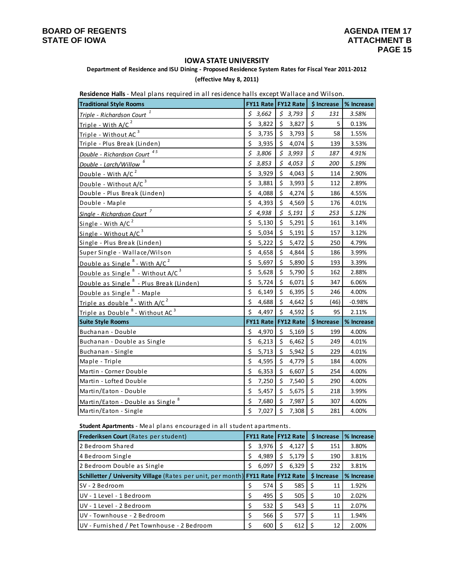#### **IOWA STATE UNIVERSITY**

**Department of Residence and ISU Dining ‐ Proposed Residence System Rates for Fiscal Year 2011‐2012**

#### **(effective May 8, 2011)**

| <b>Residence Halls</b> - iviear prafis required in an residence hans except wanace and written. |         |                       |         |         |             |                                     |            |
|-------------------------------------------------------------------------------------------------|---------|-----------------------|---------|---------|-------------|-------------------------------------|------------|
| <b>Traditional Style Rooms</b>                                                                  |         |                       |         |         |             | FY11 Rate   FY12 Rate   \$ Increase | % Increase |
| Triple - Richardson Court <sup>1</sup>                                                          | \$      | 3,662                 |         | \$3,793 | \$          | 131                                 | 3.58%      |
| Triple - With $A/C2$                                                                            | \$      | 3,822                 | \$      | 3,827   | \$          | 5                                   | 0.13%      |
| Triple - Without AC <sup>3</sup>                                                                | \$      | 3,735                 | \$      | 3,793   | $\zeta$     | 58                                  | 1.55%      |
| Triple - Plus Break (Linden)                                                                    | \$      | 3,935                 | \$      | 4,074   | \$          | 139                                 | 3.53%      |
| Double - Richardson Court <sup>45</sup>                                                         | \$      | 3,806                 | \$      | 3,993   | $\sharp$    | 187                                 | 4.91%      |
| Double - Larch/Willow                                                                           | \$      | 3,853                 |         | \$4,053 | $\zeta$     | 200                                 | 5.19%      |
| Double - With A/C <sup>2</sup>                                                                  | \$      | 3,929                 | \$      | 4,043   | \$          | 114                                 | 2.90%      |
| Double - Without A/C <sup>3</sup>                                                               | \$      | 3,881                 | \$      | 3,993   | \$          | 112                                 | 2.89%      |
| Double - Plus Break (Linden)                                                                    | \$      | 4,088                 | \$      | 4,274   | \$          | 186                                 | 4.55%      |
| Double - Maple                                                                                  | \$      | 4,393                 | \$      | 4,569   | \$          | 176                                 | 4.01%      |
| Single - Richardson Court <sup>7</sup>                                                          | \$      | 4,938                 |         | \$5,191 | $\varsigma$ | 253                                 | 5.12%      |
| Single - With $A/C2$                                                                            | \$      | 5,130                 | \$      | 5,291   | $\zeta$     | 161                                 | 3.14%      |
| Single - Without A/C <sup>3</sup>                                                               | \$      | 5,034                 | \$      | 5,191   | \$          | 157                                 | 3.12%      |
| Single - Plus Break (Linden)                                                                    | $\zeta$ | 5,222                 | \$      | 5,472   | $\zeta$     | 250                                 | 4.79%      |
| Super Single - Wallace/Wilson                                                                   | \$      | 4,658                 | \$      | 4,844   | \$          | 186                                 | 3.99%      |
| Double as Single <sup>8</sup> - With A/C <sup>2</sup>                                           | \$      | 5,697                 | \$      | 5,890   | $\zeta$     | 193                                 | 3.39%      |
| Double as Single <sup>8</sup> - Without A/C <sup>3</sup>                                        | \$      | 5,628                 | \$      | 5,790   | \$          | 162                                 | 2.88%      |
| Double as Single <sup>8</sup> - Plus Break (Linden)                                             | \$      | 5,724                 | \$      | 6,071   | \$          | 347                                 | 6.06%      |
| Double as Single <sup>8</sup> - Maple                                                           | \$      | 6,149                 | $\zeta$ | 6,395   | $\zeta$     | 246                                 | 4.00%      |
| Triple as double $8$ - With A/C $2$                                                             | \$      | 4,688                 | \$      | 4,642   | \$          | (46)                                | $-0.98%$   |
| Triple as Double <sup>8</sup> - Without AC <sup>3</sup>                                         | \$      | 4,497                 | \$      | 4,592   | \$          | 95                                  | 2.11%      |
| <b>Suite Style Rooms</b>                                                                        |         | FY11 Rate   FY12 Rate |         |         |             | \$ Increase                         | % Increase |
| Buchanan - Double                                                                               | \$      | 4,970                 | \$      | 5,169   | \$          | 199                                 | 4.00%      |
| Buchanan - Double as Single                                                                     | \$      | 6,213                 | \$      | 6,462   | \$          | 249                                 | 4.01%      |
| Buchanan - Single                                                                               | Ś       | 5,713                 | \$      | 5,942   | $\zeta$     | 229                                 | 4.01%      |
| Maple - Triple                                                                                  | \$      | 4,595                 | \$      | 4,779   | \$          | 184                                 | 4.00%      |
| Martin - Corner Double                                                                          | $\zeta$ | 6,353                 | \$      | 6,607   | $\zeta$     | 254                                 | 4.00%      |
| Martin - Lofted Double                                                                          | \$      | 7,250                 | \$      | 7,540   | \$          | 290                                 | 4.00%      |
| Martin/Eaton - Double                                                                           | \$      | 5,457                 | \$      | 5,675   | $\zeta$     | 218                                 | 3.99%      |
| Martin/Eaton - Double as Single <sup>8</sup>                                                    | \$      | 7,680                 | \$      | 7,987   | \$          | 307                                 | 4.00%      |
| Martin/Eaton - Single                                                                           | \$      | 7,027                 | \$      | 7,308   | \$          | 281                                 | 4.00%      |

**Residence Halls** ‐ Meal plans required in all residence halls except Wallace and Wilson.

**Student Apartments** ‐ Meal plans encouraged in all s tudent apa rtments.

| <b>Frederiksen Court</b> (Rates per student)                                                                     |   |       |   | <b>FY11 Rate   FY12 Rate  </b>    | \$ Increase | % Increase |
|------------------------------------------------------------------------------------------------------------------|---|-------|---|-----------------------------------|-------------|------------|
| l 2 Bedroom Shared                                                                                               | S | 3,976 | S | $4,127$ S                         | 151         | 3.80%      |
| 4 Bedroom Single                                                                                                 |   | 4,989 | S | $5,179$ \$                        | 190         | 3.81%      |
| 2 Bedroom Double as Single                                                                                       | Ś | 6,097 | S | $6,329$ $\mid$ \$                 | 232         | 3.81%      |
| <b>Schilletter / University Village</b> (Rates per unit, per month) <b>  FY11 Rate   FY12 Rate   \$ Increase</b> |   |       |   |                                   |             | % Increase |
| lSV - 2 Bedroom                                                                                                  |   | 574   |   | 585 l                             | 11          | 1.92%      |
| lUV - 1 Level - 1 Bedroom                                                                                        |   | 495   |   | $505$ $\mid$ \$                   | 10          | 2.02%      |
| lUV - 1 Level - 2 Bedroom                                                                                        |   | 532   |   | $543$ $\overline{\phantom{1}}$ \$ | 11          | 2.07%      |
| UV - Townhouse - 2 Bedroom                                                                                       |   | 566   |   | 577                               | 11          | 1.94%      |
| UV - Furnished / Pet Townhouse - 2 Bedroom                                                                       |   | 600   |   | 612                               | 12          | 2.00%      |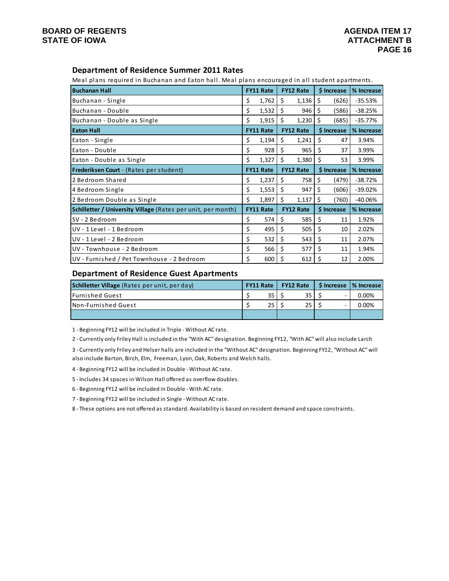### **Department of Residence Summer 2011 Rates**

Meal plans required in Buchanan and Eaton hall. Meal plans encouraged in all student apartments.

| <b>Buchanan Hall</b>                                         | <b>FY11 Rate</b> |                  |    | <b>FY12 Rate</b> |    | \$ Increase | % Increase |
|--------------------------------------------------------------|------------------|------------------|----|------------------|----|-------------|------------|
| Buchanan - Single                                            | \$               | 1,762            | \$ | 1,136            | \$ | (626)       | $-35.53%$  |
| Buchanan - Double                                            | \$               | 1,532            | Ŝ. | 946              | \$ | (586)       | $-38.25%$  |
| Buchanan - Double as Single                                  | \$               | 1,915            | Ŝ. | 1,230            | \$ | (685)       | $-35.77%$  |
| <b>Eaton Hall</b>                                            |                  | <b>FY11 Rate</b> |    | <b>FY12 Rate</b> |    | \$ Increase | % Increase |
| Eaton - Single                                               | \$               | 1,194            | \$ | 1,241            | \$ | 47          | 3.94%      |
| Eaton - Double                                               | \$               | 928              | \$ | 965              | \$ | 37          | 3.99%      |
| Eaton - Double as Single                                     | \$               | 1,327            | \$ | 1,380            | \$ | 53          | 3.99%      |
| Frederiksen Court - (Rates per student)                      |                  | <b>FY11 Rate</b> |    | <b>FY12 Rate</b> |    | \$ Increase | % Increase |
| 2 Bedroom Shared                                             | \$               | 1,237            | Ŝ. | 758              | \$ | (479)       | $-38.72%$  |
| 4 Bedroom Single                                             | \$               | 1,553            | \$ | 947              | \$ | (606)       | $-39.02%$  |
| 2 Bedroom Double as Single                                   | \$               | 1,897            | \$ | 1,137            | Ś  | (760)       | $-40.06%$  |
| Schilletter / University Village (Rates per unit, per month) |                  | <b>FY11 Rate</b> |    | <b>FY12 Rate</b> |    | \$ Increase | % Increase |
| SV - 2 Bedroom                                               | \$               | 574              | \$ | 585              | \$ | 11          | 1.92%      |
| UV - 1 Level - 1 Bedroom                                     | \$               | 495              | \$ | 505              | \$ | 10          | 2.02%      |
| UV - 1 Level - 2 Bedroom                                     | \$               | 532              | \$ | 543              | \$ | 11          | 2.07%      |
| UV - Townhouse - 2 Bedroom                                   | \$               | 566              | Ŝ. | 577              | \$ | 11          | 1.94%      |
| UV - Furnished / Pet Townhouse - 2 Bedroom                   | \$               | 600              | \$ | 612              | \$ | 12          | 2.00%      |

### **Department of Residence Guest Apartments**

| Schilletter Village (Rates per unit, per day) |  | <b>FY11 Rate</b> |  | <b>FY12 Rate</b> | S Increase | % Increase |  |
|-----------------------------------------------|--|------------------|--|------------------|------------|------------|--|
| <b>IFurnished Guest</b>                       |  | 35               |  | 35               |            | 0.00%      |  |
| INon-Furnished Guest                          |  | 25               |  |                  |            | 0.00%      |  |
|                                               |  |                  |  |                  |            |            |  |

1 ‐ Beginning FY12 will be included in Triple ‐ Without AC rate.

2 ‐ Currently only Friley Hall is included in the "With AC" designation. Beginning FY12, "With AC" will also include Larch

3 ‐ Currently only Friley and Helser halls are included in the "Without AC" designation. Beginning FY12, "Without AC" will also include Barton, Birch, Elm, Freeman, Lyon, Oak, Roberts and Welch halls.

4 ‐ Beginning FY12 will be included in Double ‐ Without AC rate.

5 ‐ Includes 34 spaces in Wilson Hall offered as overflow doubles.

6 ‐ Beginning FY12 will be included in Double ‐ With AC rate.

7 ‐ Beginning FY12 will be included in Single ‐ Without AC rate.

8 ‐ These options are not offered as standard. Availability is based on resident demand and space constraints.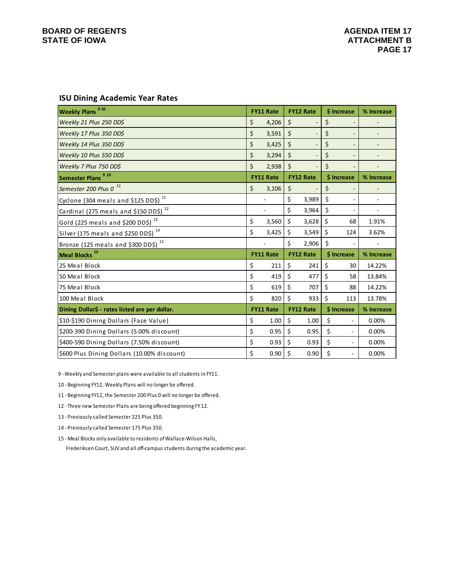### **BOARD OF REGENTS** AGENDA ITEM 17 STATE OF IOWA **ATTACHMENT B**

### **ISU Dining Academic Year Rates**

| 9 10<br><b>Weekly Plans</b>                       | <b>FY11 Rate</b> | <b>FY12 Rate</b> |                          | \$ Increase |                          | % Increase               |  |
|---------------------------------------------------|------------------|------------------|--------------------------|-------------|--------------------------|--------------------------|--|
| Weekly 21 Plus 250 DD\$                           | \$<br>4,206      | \$               | $\overline{a}$           | \$          |                          |                          |  |
| Weekly 17 Plus 350 DD\$                           | \$<br>3,591      | \$               | $\overline{\phantom{0}}$ | \$          | $\overline{a}$           |                          |  |
| Weekly 14 Plus 350 DD\$                           | \$<br>3,425      | \$               | $\overline{\phantom{a}}$ | \$          | $\overline{a}$           | ٠                        |  |
| Weekly 10 Plus 550 DD\$                           | \$<br>3,294      | \$               | $\overline{a}$           | \$          | Ξ                        |                          |  |
| Weekly 7 Plus 750 DD\$                            | \$<br>2,938      | \$               | $\overline{\phantom{a}}$ | \$          |                          |                          |  |
| 910<br><b>Semester Plans</b>                      | <b>FY11 Rate</b> |                  | <b>FY12 Rate</b>         |             | \$ Increase              | % Increase               |  |
| Semester 200 Plus 0 <sup>11</sup>                 | \$<br>3,106      | \$               | $\overline{\phantom{a}}$ | \$          | Ξ                        | $\overline{\phantom{a}}$ |  |
| Cyclone (304 meals and \$125 DD\$) <sup>12</sup>  |                  | \$               | 3,989                    | \$          |                          | $\blacksquare$           |  |
| Cardinal (275 meals and \$150 DD\$) <sup>12</sup> |                  | \$               | 3,964                    | \$          |                          | ٠                        |  |
| Gold (225 meals and \$200 DD\$) <sup>13</sup>     | \$<br>3,560      | \$               | 3,628                    | \$          | 68                       | 1.91%                    |  |
| Silver (175 meals and \$250 DD\$) $^{14}$         | \$<br>3,425      | \$               | 3,549                    | \$          | 124                      | 3.62%                    |  |
| Bronze (125 meals and \$300 DD\$) <sup>12</sup>   |                  | \$               | 2,906                    | \$          |                          |                          |  |
| Meal Blocks <sup>15</sup>                         | <b>FY11 Rate</b> |                  | <b>FY12 Rate</b>         |             | \$ Increase              | % Increase               |  |
| 25 Meal Block                                     | \$<br>211        | \$               | 241                      | \$          | 30                       | 14.22%                   |  |
| 50 Meal Block                                     | \$<br>419        | \$               | 477                      | \$          | 58                       | 13.84%                   |  |
| 75 Meal Block                                     | \$<br>619        | \$               | 707                      | \$          | 88                       | 14.22%                   |  |
| 100 Meal Block                                    | \$<br>820        | \$               | 933                      | \$          | 113                      | 13.78%                   |  |
| Dining Dollar\$ - rates listed are per dollar.    | <b>FY11 Rate</b> |                  | <b>FY12 Rate</b>         |             | \$ Increase              | % Increase               |  |
| \$10-\$190 Dining Dollars (Face Value)            | \$<br>1.00       | \$               | 1.00                     | \$          | $\overline{\phantom{a}}$ | 0.00%                    |  |
| \$200-390 Dining Dollars (5.00% discount)         | \$<br>0.95       | \$               | 0.95                     | \$          | $\overline{\phantom{a}}$ | 0.00%                    |  |
| \$400-590 Dining Dollars (7.50% discount)         | \$<br>0.93       | \$               | 0.93                     | \$          |                          | 0.00%                    |  |
| \$600 Plus Dining Dollars (10.00% discount)       | \$<br>0.90       | \$               | 0.90                     | \$          |                          | 0.00%                    |  |

9 ‐ Weekly and Semester plans were available to all students in FY11.

10 ‐ Beginning FY12, Weekly Plans will no longer be offered.

11 ‐ Beginning FY12, the Semester 200 Plus 0 will no longer be offered.

12 ‐ Three new Semester Plans are being offered beginning FY 12.

13 ‐ Previously called Semester 225 Plus 350.

14 ‐ Previously called Semester 175 Plus 350.

 Frederiksen Court, SUV and all off‐campus students during the academic year. 15 ‐ Meal Blocks only available to residents of Wallace‐Wilson Halls,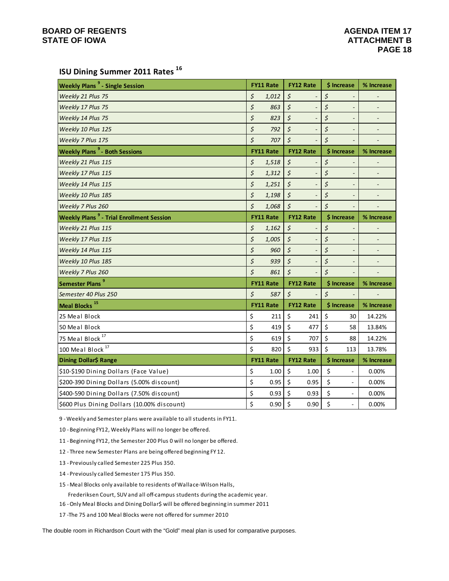### **ISU Dining Summer 2011 Rates <sup>16</sup>**

| <b>Weekly Plans<sup>9</sup></b> - Single Session           | <b>FY11 Rate</b> |             | <b>FY12 Rate</b> | \$ Increase                        | % Increase                   |
|------------------------------------------------------------|------------------|-------------|------------------|------------------------------------|------------------------------|
| Weekly 21 Plus 75                                          | \$<br>1,012      | \$          |                  | \$                                 |                              |
| Weekly 17 Plus 75                                          | \$<br>863        | \$          |                  | \$<br>$\overline{\phantom{m}}$     | $\overline{\phantom{m}}$     |
| Weekly 14 Plus 75                                          | \$<br>823        | \$          |                  | \$<br>$\overline{\phantom{a}}$     |                              |
| Weekly 10 Plus 125                                         | \$<br>792        | \$          |                  | \$<br>$\overline{\phantom{a}}$     | $\qquad \qquad \blacksquare$ |
| Weekly 7 Plus 175                                          | \$<br>707        | \$          |                  | \$                                 |                              |
| <b>Weekly Plans<sup>9</sup></b> - Both Sessions            | <b>FY11 Rate</b> |             | <b>FY12 Rate</b> | \$ Increase                        | % Increase                   |
| Weekly 21 Plus 115                                         | \$<br>1,518      | \$          |                  | \$                                 |                              |
| Weekly 17 Plus 115                                         | \$<br>1,312      | \$          |                  | \$<br>$\qquad \qquad \blacksquare$ | $\qquad \qquad \blacksquare$ |
| Weekly 14 Plus 115                                         | \$<br>1,251      | \$          |                  | \$<br>$\overline{\phantom{a}}$     | $\qquad \qquad \blacksquare$ |
| Weekly 10 Plus 185                                         | \$<br>1,198      | $\zeta$     |                  | \$<br>$\overline{\phantom{a}}$     | $\overline{\phantom{a}}$     |
| Weekly 7 Plus 260                                          | \$<br>1,068      | $\zeta$     |                  | \$                                 |                              |
| <b>Weekly Plans<sup>9</sup></b> - Trial Enrollment Session | <b>FY11 Rate</b> |             | <b>FY12 Rate</b> | \$ Increase                        | % Increase                   |
| Weekly 21 Plus 115                                         | \$<br>1,162      | \$          |                  | \$<br>$\qquad \qquad \blacksquare$ |                              |
| Weekly 17 Plus 115                                         | \$<br>1,005      | \$          |                  | \$<br>$\qquad \qquad \blacksquare$ | $\overline{\phantom{a}}$     |
| Weekly 14 Plus 115                                         | \$<br>960        | \$          |                  | \$<br>$\qquad \qquad \blacksquare$ |                              |
| Weekly 10 Plus 185                                         | \$<br>939        | \$          |                  | \$<br>$\overline{\phantom{a}}$     |                              |
| Weekly 7 Plus 260                                          | \$<br>861        | \$          |                  | \$                                 |                              |
| Semester Plans <sup>9</sup>                                | <b>FY11 Rate</b> |             | <b>FY12 Rate</b> | \$ Increase                        | % Increase                   |
| Semester 40 Plus 250                                       | \$<br>587        | $\varsigma$ |                  | \$                                 |                              |
| Meal Blocks <sup>15</sup>                                  | <b>FY11 Rate</b> |             | <b>FY12 Rate</b> | \$ Increase                        | % Increase                   |
| 25 Meal Block                                              | \$<br>211        | \$          | 241              | \$<br>30                           | 14.22%                       |
| 50 Meal Block                                              | \$<br>419        | \$          | 477              | \$<br>58                           | 13.84%                       |
| 75 Meal Block <sup>17</sup>                                | \$<br>619        | \$          | 707              | \$<br>88                           | 14.22%                       |
| 100 Meal Block <sup>17</sup>                               | \$<br>820        | \$          | 933              | \$<br>113                          | 13.78%                       |
| Dining Dollar\$ Range                                      | <b>FY11 Rate</b> |             | <b>FY12 Rate</b> | \$ Increase                        | % Increase                   |
| \$10-\$190 Dining Dollars (Face Value)                     | \$<br>1.00       | \$          | 1.00             | \$<br>$\overline{\phantom{a}}$     | 0.00%                        |
| \$200-390 Dining Dollars (5.00% discount)                  | \$<br>0.95       | \$          | 0.95             | \$<br>$\overline{\phantom{a}}$     | 0.00%                        |
| \$400-590 Dining Dollars (7.50% discount)                  | \$<br>0.93       | \$          | 0.93             | \$<br>$\overline{\phantom{a}}$     | 0.00%                        |
| \$600 Plus Dining Dollars (10.00% discount)                | \$<br>0.90       | \$          | 0.90             | \$<br>$\overline{\phantom{a}}$     | 0.00%                        |

9 ‐ Weekly and Semester plans were available to all students in FY11.

10 ‐ Beginning FY12, Weekly Plans will no longer be offered.

11 ‐ Beginning FY12, the Semester 200 Plus 0 will no longer be offered.

12 - Three new Semester Plans are being offered beginning FY 12.

13 ‐ Previously called Semester 225 Plus 350.

14 ‐ Previously called Semester 175 Plus 350.

15 ‐ Meal Blocks only available to residents of Wallace‐Wilson Halls,

Frederiksen Court, SUV and all off‐campus students during the academic year.

16 ‐ Only Meal Blocks and Dining Dollar\$ will be offered beginning in summer 2011

17 ‐The 75 and 100 Meal Blocks were not offered for summer 2010

The double room in Richardson Court with the "Gold" meal plan is used for comparative purposes.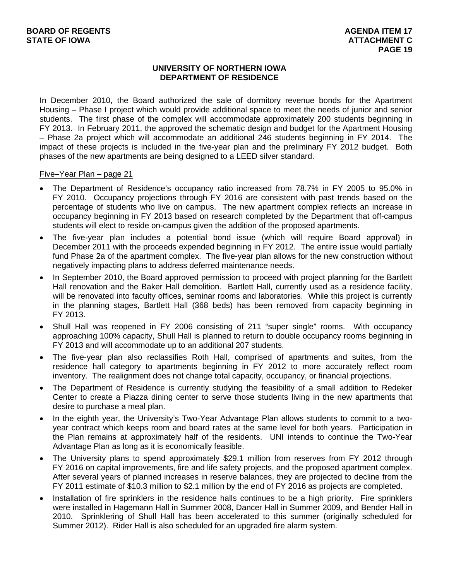### **UNIVERSITY OF NORTHERN IOWA DEPARTMENT OF RESIDENCE**

In December 2010, the Board authorized the sale of dormitory revenue bonds for the Apartment Housing – Phase I project which would provide additional space to meet the needs of junior and senior students. The first phase of the complex will accommodate approximately 200 students beginning in FY 2013. In February 2011, the approved the schematic design and budget for the Apartment Housing – Phase 2a project which will accommodate an additional 246 students beginning in FY 2014. The impact of these projects is included in the five-year plan and the preliminary FY 2012 budget. Both phases of the new apartments are being designed to a LEED silver standard.

### Five–Year Plan – page 21

- The Department of Residence's occupancy ratio increased from 78.7% in FY 2005 to 95.0% in FY 2010. Occupancy projections through FY 2016 are consistent with past trends based on the percentage of students who live on campus. The new apartment complex reflects an increase in occupancy beginning in FY 2013 based on research completed by the Department that off-campus students will elect to reside on-campus given the addition of the proposed apartments.
- The five-year plan includes a potential bond issue (which will require Board approval) in December 2011 with the proceeds expended beginning in FY 2012. The entire issue would partially fund Phase 2a of the apartment complex. The five-year plan allows for the new construction without negatively impacting plans to address deferred maintenance needs.
- In September 2010, the Board approved permission to proceed with project planning for the Bartlett Hall renovation and the Baker Hall demolition. Bartlett Hall, currently used as a residence facility, will be renovated into faculty offices, seminar rooms and laboratories. While this project is currently in the planning stages, Bartlett Hall (368 beds) has been removed from capacity beginning in FY 2013.
- Shull Hall was reopened in FY 2006 consisting of 211 "super single" rooms. With occupancy approaching 100% capacity, Shull Hall is planned to return to double occupancy rooms beginning in FY 2013 and will accommodate up to an additional 207 students.
- The five-year plan also reclassifies Roth Hall, comprised of apartments and suites, from the residence hall category to apartments beginning in FY 2012 to more accurately reflect room inventory. The realignment does not change total capacity, occupancy, or financial projections.
- The Department of Residence is currently studying the feasibility of a small addition to Redeker Center to create a Piazza dining center to serve those students living in the new apartments that desire to purchase a meal plan.
- In the eighth year, the University's Two-Year Advantage Plan allows students to commit to a twoyear contract which keeps room and board rates at the same level for both years. Participation in the Plan remains at approximately half of the residents. UNI intends to continue the Two-Year Advantage Plan as long as it is economically feasible.
- The University plans to spend approximately \$29.1 million from reserves from FY 2012 through FY 2016 on capital improvements, fire and life safety projects, and the proposed apartment complex. After several years of planned increases in reserve balances, they are projected to decline from the FY 2011 estimate of \$10.3 million to \$2.1 million by the end of FY 2016 as projects are completed.
- Installation of fire sprinklers in the residence halls continues to be a high priority. Fire sprinklers were installed in Hagemann Hall in Summer 2008, Dancer Hall in Summer 2009, and Bender Hall in 2010. Sprinklering of Shull Hall has been accelerated to this summer (originally scheduled for Summer 2012). Rider Hall is also scheduled for an upgraded fire alarm system.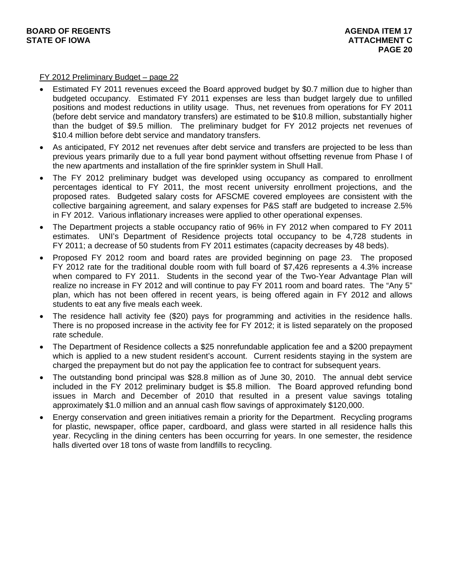FY 2012 Preliminary Budget – page 22

- Estimated FY 2011 revenues exceed the Board approved budget by \$0.7 million due to higher than budgeted occupancy. Estimated FY 2011 expenses are less than budget largely due to unfilled positions and modest reductions in utility usage. Thus, net revenues from operations for FY 2011 (before debt service and mandatory transfers) are estimated to be \$10.8 million, substantially higher than the budget of \$9.5 million. The preliminary budget for FY 2012 projects net revenues of \$10.4 million before debt service and mandatory transfers.
- As anticipated, FY 2012 net revenues after debt service and transfers are projected to be less than previous years primarily due to a full year bond payment without offsetting revenue from Phase I of the new apartments and installation of the fire sprinkler system in Shull Hall.
- The FY 2012 preliminary budget was developed using occupancy as compared to enrollment percentages identical to FY 2011, the most recent university enrollment projections, and the proposed rates. Budgeted salary costs for AFSCME covered employees are consistent with the collective bargaining agreement, and salary expenses for P&S staff are budgeted to increase 2.5% in FY 2012. Various inflationary increases were applied to other operational expenses.
- The Department projects a stable occupancy ratio of 96% in FY 2012 when compared to FY 2011 estimates. UNI's Department of Residence projects total occupancy to be 4,728 students in FY 2011; a decrease of 50 students from FY 2011 estimates (capacity decreases by 48 beds).
- Proposed FY 2012 room and board rates are provided beginning on page 23. The proposed FY 2012 rate for the traditional double room with full board of \$7,426 represents a 4.3% increase when compared to FY 2011. Students in the second year of the Two-Year Advantage Plan will realize no increase in FY 2012 and will continue to pay FY 2011 room and board rates. The "Any 5" plan, which has not been offered in recent years, is being offered again in FY 2012 and allows students to eat any five meals each week.
- The residence hall activity fee (\$20) pays for programming and activities in the residence halls. There is no proposed increase in the activity fee for FY 2012; it is listed separately on the proposed rate schedule.
- The Department of Residence collects a \$25 nonrefundable application fee and a \$200 prepayment which is applied to a new student resident's account. Current residents staying in the system are charged the prepayment but do not pay the application fee to contract for subsequent years.
- The outstanding bond principal was \$28.8 million as of June 30, 2010. The annual debt service included in the FY 2012 preliminary budget is \$5.8 million. The Board approved refunding bond issues in March and December of 2010 that resulted in a present value savings totaling approximately \$1.0 million and an annual cash flow savings of approximately \$120,000.
- Energy conservation and green initiatives remain a priority for the Department. Recycling programs for plastic, newspaper, office paper, cardboard, and glass were started in all residence halls this year. Recycling in the dining centers has been occurring for years. In one semester, the residence halls diverted over 18 tons of waste from landfills to recycling.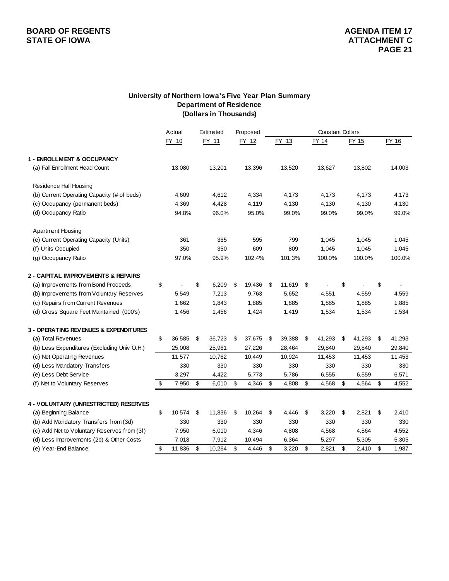# **BOARD OF REGENTS**<br> **BOARD OF REGENTS**<br> **BOARD OF IOWA**<br> **ATTACHMENT C**

#### **University of Northern Iowa's Five Year Plan Summary Department of Residence (Dollars in Thousands)**

|                                               | Actual       | Estimated    |    | Proposed | <b>Constant Dollars</b> |           |    |        |              |    |        |
|-----------------------------------------------|--------------|--------------|----|----------|-------------------------|-----------|----|--------|--------------|----|--------|
|                                               | FY 10        | FY 11        |    | FY 12    |                         | FY 13     |    | FY 14  | FY 15        |    | FY 16  |
| 1 - ENROLLMENT & OCCUPANCY                    |              |              |    |          |                         |           |    |        |              |    |        |
| (a) Fall Enrollment Head Count                | 13,080       | 13,201       |    | 13,396   |                         | 13,520    |    | 13,627 | 13,802       |    | 14,003 |
| Residence Hall Housing                        |              |              |    |          |                         |           |    |        |              |    |        |
| (b) Current Operating Capacity (# of beds)    | 4,609        | 4,612        |    | 4,334    |                         | 4,173     |    | 4,173  | 4,173        |    | 4,173  |
| (c) Occupancy (permanent beds)                | 4,369        | 4,428        |    | 4,119    |                         | 4,130     |    | 4,130  | 4,130        |    | 4,130  |
| (d) Occupancy Ratio                           | 94.8%        | 96.0%        |    | 95.0%    |                         | 99.0%     |    | 99.0%  | 99.0%        |    | 99.0%  |
| <b>Apartment Housing</b>                      |              |              |    |          |                         |           |    |        |              |    |        |
| (e) Current Operating Capacity (Units)        | 361          | 365          |    | 595      |                         | 799       |    | 1,045  | 1,045        |    | 1,045  |
| (f) Units Occupied                            | 350          | 350          |    | 609      |                         | 809       |    | 1,045  | 1,045        |    | 1,045  |
| (g) Occupancy Ratio                           | 97.0%        | 95.9%        |    | 102.4%   |                         | 101.3%    |    | 100.0% | 100.0%       |    | 100.0% |
| <b>2 - CAPITAL IMPROVEMENTS &amp; REPAIRS</b> |              |              |    |          |                         |           |    |        |              |    |        |
| (a) Improvements from Bond Proceeds           | \$           | \$<br>6,209  | \$ | 19,436   | \$                      | 11,619 \$ |    |        | \$           | \$ |        |
| (b) Improvements from Voluntary Reserves      | 5,549        | 7,213        |    | 9,763    |                         | 5,652     |    | 4,551  | 4,559        |    | 4,559  |
| (c) Repairs from Current Revenues             | 1,662        | 1,843        |    | 1,885    |                         | 1,885     |    | 1,885  | 1,885        |    | 1,885  |
| (d) Gross Square Feet Maintained (000's)      | 1,456        | 1,456        |    | 1,424    |                         | 1,419     |    | 1,534  | 1,534        |    | 1,534  |
| 3 - OPERATING REVENUES & EXPENDITURES         |              |              |    |          |                         |           |    |        |              |    |        |
| (a) Total Revenues                            | \$<br>36,585 | \$<br>36,723 | \$ | 37,675   | \$                      | 39,388    | \$ | 41,293 | \$<br>41,293 | \$ | 41,293 |
| (b) Less Expenditures (Excluding Univ O.H.)   | 25,008       | 25,961       |    | 27,226   |                         | 28,464    |    | 29,840 | 29,840       |    | 29,840 |
| (c) Net Operating Revenues                    | 11,577       | 10,762       |    | 10,449   |                         | 10,924    |    | 11,453 | 11,453       |    | 11,453 |
| (d) Less Mandatory Transfers                  | 330          | 330          |    | 330      |                         | 330       |    | 330    | 330          |    | 330    |
| (e) Less Debt Service                         | 3,297        | 4,422        |    | 5,773    |                         | 5,786     |    | 6,555  | 6,559        |    | 6,571  |
| (f) Net to Voluntary Reserves                 | \$<br>7,950  | \$<br>6,010  | \$ | 4,346    | \$                      | 4,808     | \$ | 4,568  | \$<br>4,564  | \$ | 4,552  |
| 4 - VOLUNTARY (UNRESTRICTED) RESERVES         |              |              |    |          |                         |           |    |        |              |    |        |
| (a) Beginning Balance                         | \$<br>10,574 | \$<br>11,836 | S  | 10,264   | \$                      | 4.446     | \$ | 3,220  | \$<br>2,821  | \$ | 2,410  |
| (b) Add Mandatory Transfers from (3d)         | 330          | 330          |    | 330      |                         | 330       |    | 330    | 330          |    | 330    |
| (c) Add Net to Voluntary Reserves from (3f)   | 7,950        | 6,010        |    | 4,346    |                         | 4,808     |    | 4,568  | 4,564        |    | 4,552  |
| (d) Less Improvements (2b) & Other Costs      | 7,018        | 7,912        |    | 10,494   |                         | 6,364     |    | 5,297  | 5,305        |    | 5,305  |
| (e) Year-End Balance                          | \$<br>11,836 | \$<br>10,264 | \$ | 4,446    | \$                      | 3,220     | \$ | 2,821  | \$<br>2,410  | \$ | 1,987  |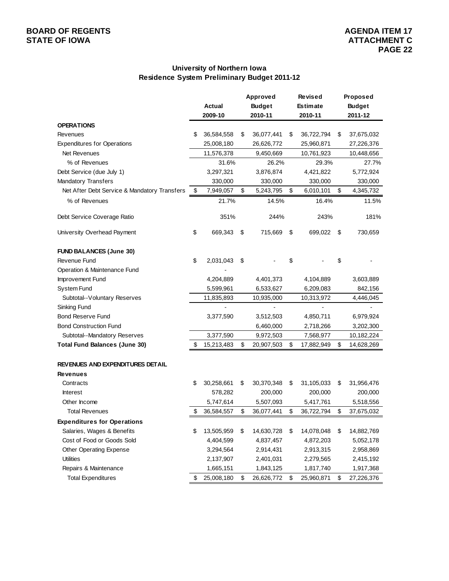### **University of Northern Iowa Residence System Preliminary Budget 2011-12**

|                                              | Approved |                                | <b>Revised</b> |                 | Proposed         |               |            |
|----------------------------------------------|----------|--------------------------------|----------------|-----------------|------------------|---------------|------------|
|                                              |          | <b>Actual</b><br><b>Budget</b> |                | <b>Estimate</b> |                  | <b>Budget</b> |            |
|                                              |          | 2009-10                        |                | 2010-11         | 2010-11          |               | 2011-12    |
| <b>OPERATIONS</b>                            |          |                                |                |                 |                  |               |            |
| Revenues                                     | S        | 36,584,558                     | \$             | 36,077,441      | \$<br>36,722,794 | \$            | 37,675,032 |
| <b>Expenditures for Operations</b>           |          | 25,008,180                     |                | 26,626,772      | 25,960,871       |               | 27,226,376 |
| Net Revenues                                 |          | 11,576,378                     |                | 9,450,669       | 10,761,923       |               | 10,448,656 |
| % of Revenues                                |          | 31.6%                          |                | 26.2%           | 29.3%            |               | 27.7%      |
| Debt Service (due July 1)                    |          | 3,297,321                      |                | 3,876,874       | 4,421,822        |               | 5,772,924  |
| <b>Mandatory Transfers</b>                   |          | 330,000                        |                | 330,000         | 330,000          |               | 330,000    |
| Net After Debt Service & Mandatory Transfers | \$       | 7,949,057                      | \$             | 5,243,795       | \$<br>6,010,101  | \$            | 4,345,732  |
| % of Revenues                                |          | 21.7%                          |                | 14.5%           | 16.4%            |               | 11.5%      |
| Debt Service Coverage Ratio                  |          | 351%                           |                | 244%            | 243%             |               | 181%       |
| University Overhead Payment                  | \$       | 669,343                        | \$             | 715,669         | \$<br>699,022    | \$            | 730,659    |
| <b>FUND BALANCES (June 30)</b>               |          |                                |                |                 |                  |               |            |
| Revenue Fund                                 | \$       | 2,031,043                      | \$             |                 | \$               | \$            |            |
| Operation & Maintenance Fund                 |          |                                |                |                 |                  |               |            |
| Improvement Fund                             |          | 4,204,889                      |                | 4,401,373       | 4,104,889        |               | 3,603,889  |
| <b>System Fund</b>                           |          | 5,599,961                      |                | 6,533,627       | 6,209,083        |               | 842,156    |
| Subtotal--Voluntary Reserves                 |          | 11,835,893                     |                | 10,935,000      | 10,313,972       |               | 4,446,045  |
| Sinking Fund                                 |          |                                |                |                 |                  |               |            |
| <b>Bond Reserve Fund</b>                     |          | 3,377,590                      |                | 3,512,503       | 4,850,711        |               | 6,979,924  |
| <b>Bond Construction Fund</b>                |          |                                |                | 6,460,000       | 2,718,266        |               | 3,202,300  |
| Subtotal--Mandatory Reserves                 |          | 3,377,590                      |                | 9,972,503       | 7,568,977        |               | 10,182,224 |
| <b>Total Fund Balances (June 30)</b>         | \$       | 15,213,483                     | \$             | 20,907,503      | \$<br>17,882,949 | \$            | 14,628,269 |
| REVENUES AND EXPENDITURES DETAIL             |          |                                |                |                 |                  |               |            |
| <b>Revenues</b>                              |          |                                |                |                 |                  |               |            |
| Contracts                                    | \$       | 30,258,661                     | \$             | 30,370,348      | \$<br>31,105,033 | \$            | 31,956,476 |
| <b>Interest</b>                              |          | 578,282                        |                | 200,000         | 200,000          |               | 200,000    |
| Other Income                                 |          | 5,747,614                      |                | 5,507,093       | 5,417,761        |               | 5,518,556  |
| <b>Total Revenues</b>                        |          | 36,584,557                     | \$             | 36,077,441      | \$<br>36,722,794 | \$            | 37,675,032 |
| <b>Expenditures for Operations</b>           |          |                                |                |                 |                  |               |            |
| Salaries, Wages & Benefits                   | \$       | 13,505,959                     | \$             | 14,630,728      | \$<br>14,078,048 | \$            | 14,882,769 |
| Cost of Food or Goods Sold                   |          | 4,404,599                      |                | 4,837,457       | 4,872,203        |               | 5,052,178  |
| Other Operating Expense                      |          | 3,294,564                      |                | 2,914,431       | 2,913,315        |               | 2,958,869  |
| <b>Utilities</b>                             |          | 2,137,907                      |                | 2,401,031       | 2,279,565        |               | 2,415,192  |
| Repairs & Maintenance                        |          | 1,665,151                      |                | 1,843,125       | 1,817,740        |               | 1,917,368  |
| <b>Total Expenditures</b>                    | \$       | 25,008,180                     | \$             | 26,626,772      | \$<br>25,960,871 | \$            | 27,226,376 |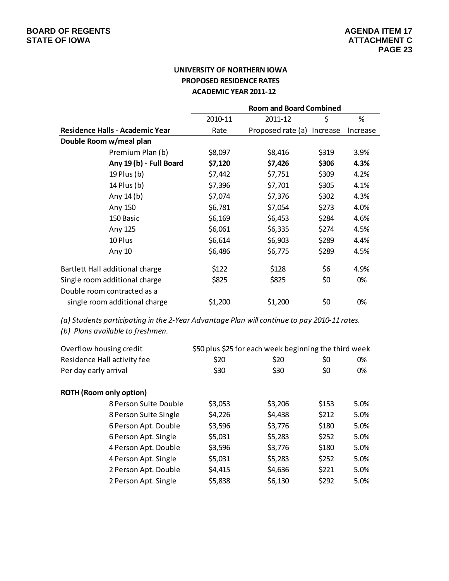### **UNIVERSITY OF NORTHERN IOWA PROPOSED RESIDENCE RATES ACADEMIC YEAR 2011‐12**

|                                        | <b>Room and Board Combined</b> |                            |       |          |  |  |  |  |
|----------------------------------------|--------------------------------|----------------------------|-------|----------|--|--|--|--|
|                                        | 2010-11                        | 2011-12                    | \$    | %        |  |  |  |  |
| <b>Residence Halls - Academic Year</b> | Rate                           | Proposed rate (a) Increase |       | Increase |  |  |  |  |
| Double Room w/meal plan                |                                |                            |       |          |  |  |  |  |
| Premium Plan (b)                       | \$8,097                        | \$8,416                    | \$319 | 3.9%     |  |  |  |  |
| Any 19 (b) - Full Board                | \$7,120                        | \$7,426                    | \$306 | 4.3%     |  |  |  |  |
| 19 Plus (b)                            | \$7,442                        | \$7,751                    | \$309 | 4.2%     |  |  |  |  |
| 14 Plus (b)                            | \$7,396                        | \$7,701                    | \$305 | 4.1%     |  |  |  |  |
| Any $14(b)$                            | \$7,074                        | \$7,376                    | \$302 | 4.3%     |  |  |  |  |
| Any 150                                | \$6,781                        | \$7,054                    | \$273 | 4.0%     |  |  |  |  |
| 150 Basic                              | \$6,169                        | \$6,453                    | \$284 | 4.6%     |  |  |  |  |
| Any 125                                | \$6,061                        | \$6,335                    | \$274 | 4.5%     |  |  |  |  |
| 10 Plus                                | \$6,614                        | \$6,903                    | \$289 | 4.4%     |  |  |  |  |
| Any 10                                 | \$6,486                        | \$6,775                    | \$289 | 4.5%     |  |  |  |  |
| Bartlett Hall additional charge        | \$122                          | \$128                      | \$6   | 4.9%     |  |  |  |  |
| Single room additional charge          | \$825                          | \$825                      | \$0   | 0%       |  |  |  |  |
| Double room contracted as a            |                                |                            |       |          |  |  |  |  |
| single room additional charge          | \$1,200                        | \$1,200                    | \$0   | 0%       |  |  |  |  |

*(a) Students participating in the 2‐Year Advantage Plan will continue to pay 2010‐11 rates.*

*(b) Plans available to freshmen.*

| Overflow housing credit        | \$50 plus \$25 for each week beginning the third week |         |       |      |  |
|--------------------------------|-------------------------------------------------------|---------|-------|------|--|
| Residence Hall activity fee    | \$20                                                  | \$20    | \$0   | 0%   |  |
| Per day early arrival          | \$30                                                  | \$30    | \$0   | 0%   |  |
| <b>ROTH (Room only option)</b> |                                                       |         |       |      |  |
| 8 Person Suite Double          | \$3,053                                               | \$3,206 | \$153 | 5.0% |  |
| 8 Person Suite Single          | \$4,226                                               | \$4,438 | \$212 | 5.0% |  |
| 6 Person Apt. Double           | \$3,596                                               | \$3,776 | \$180 | 5.0% |  |
| 6 Person Apt. Single           | \$5,031                                               | \$5,283 | \$252 | 5.0% |  |
| 4 Person Apt. Double           | \$3,596                                               | \$3,776 | \$180 | 5.0% |  |
| 4 Person Apt. Single           | \$5,031                                               | \$5,283 | \$252 | 5.0% |  |
| 2 Person Apt. Double           | \$4,415                                               | \$4,636 | \$221 | 5.0% |  |
| 2 Person Apt. Single           | \$5,838                                               | \$6,130 | \$292 | 5.0% |  |